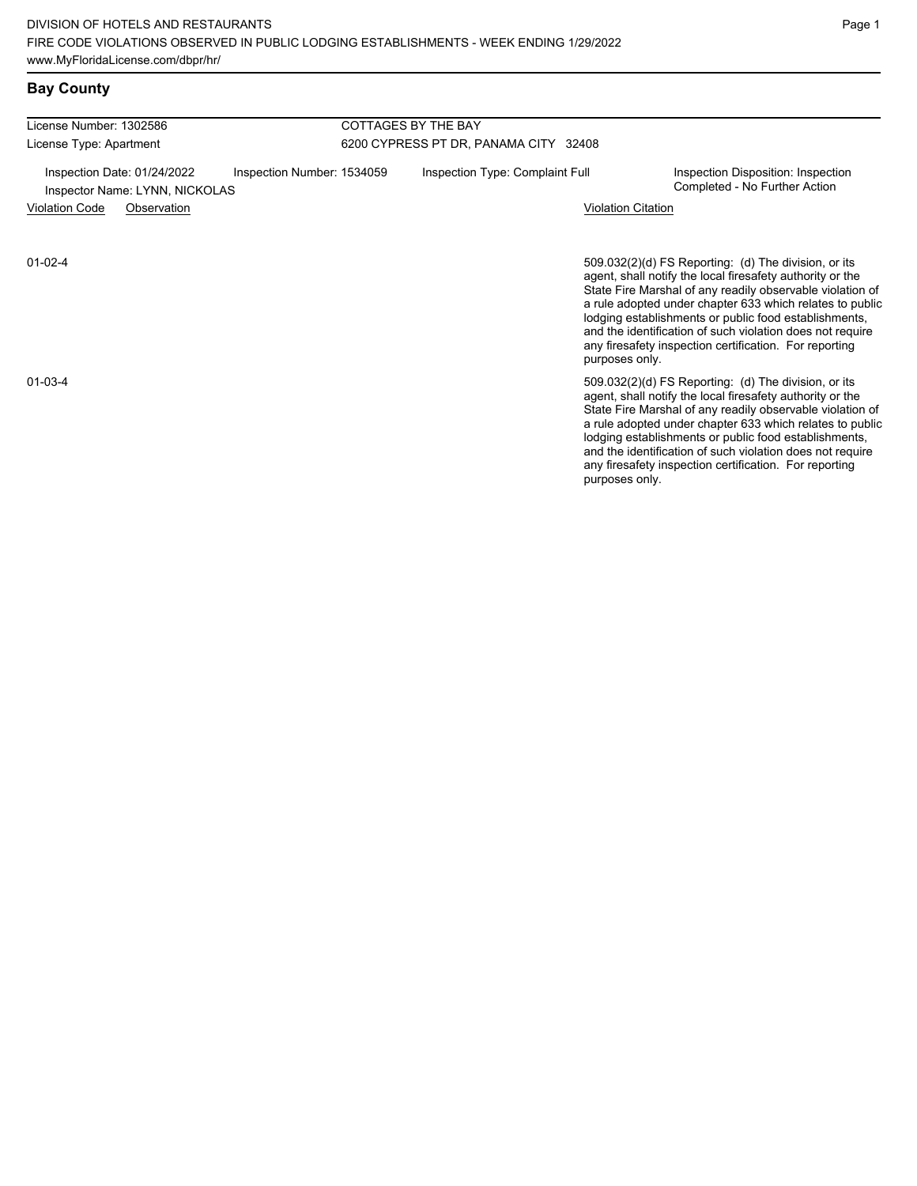## **Bay County**

| License Number: 1302586                                       |                            | COTTAGES BY THE BAY                   |                                                                                                                                                                                                                                                                                                                                                                                                                            |  |  |  |
|---------------------------------------------------------------|----------------------------|---------------------------------------|----------------------------------------------------------------------------------------------------------------------------------------------------------------------------------------------------------------------------------------------------------------------------------------------------------------------------------------------------------------------------------------------------------------------------|--|--|--|
| License Type: Apartment                                       |                            | 6200 CYPRESS PT DR, PANAMA CITY 32408 |                                                                                                                                                                                                                                                                                                                                                                                                                            |  |  |  |
| Inspection Date: 01/24/2022<br>Inspector Name: LYNN, NICKOLAS | Inspection Number: 1534059 | Inspection Type: Complaint Full       | Inspection Disposition: Inspection<br>Completed - No Further Action                                                                                                                                                                                                                                                                                                                                                        |  |  |  |
| <b>Violation Code</b><br>Observation                          |                            | <b>Violation Citation</b>             |                                                                                                                                                                                                                                                                                                                                                                                                                            |  |  |  |
| $01 - 02 - 4$                                                 |                            | purposes only.                        | 509.032(2)(d) FS Reporting: (d) The division, or its<br>agent, shall notify the local firesafety authority or the<br>State Fire Marshal of any readily observable violation of<br>a rule adopted under chapter 633 which relates to public<br>lodging establishments or public food establishments,<br>and the identification of such violation does not require<br>any firesafety inspection certification. For reporting |  |  |  |
| $01 - 03 - 4$                                                 |                            |                                       | 509.032(2)(d) FS Reporting: (d) The division, or its                                                                                                                                                                                                                                                                                                                                                                       |  |  |  |

509.032(2)(d) FS Reporting: (d) The division, or its agent, shall notify the local firesafety authority or the State Fire Marshal of any readily observable violation of a rule adopted under chapter 633 which relates to public lodging establishments or public food establishments, and the identification of such violation does not require any firesafety inspection certification. For reporting purposes only.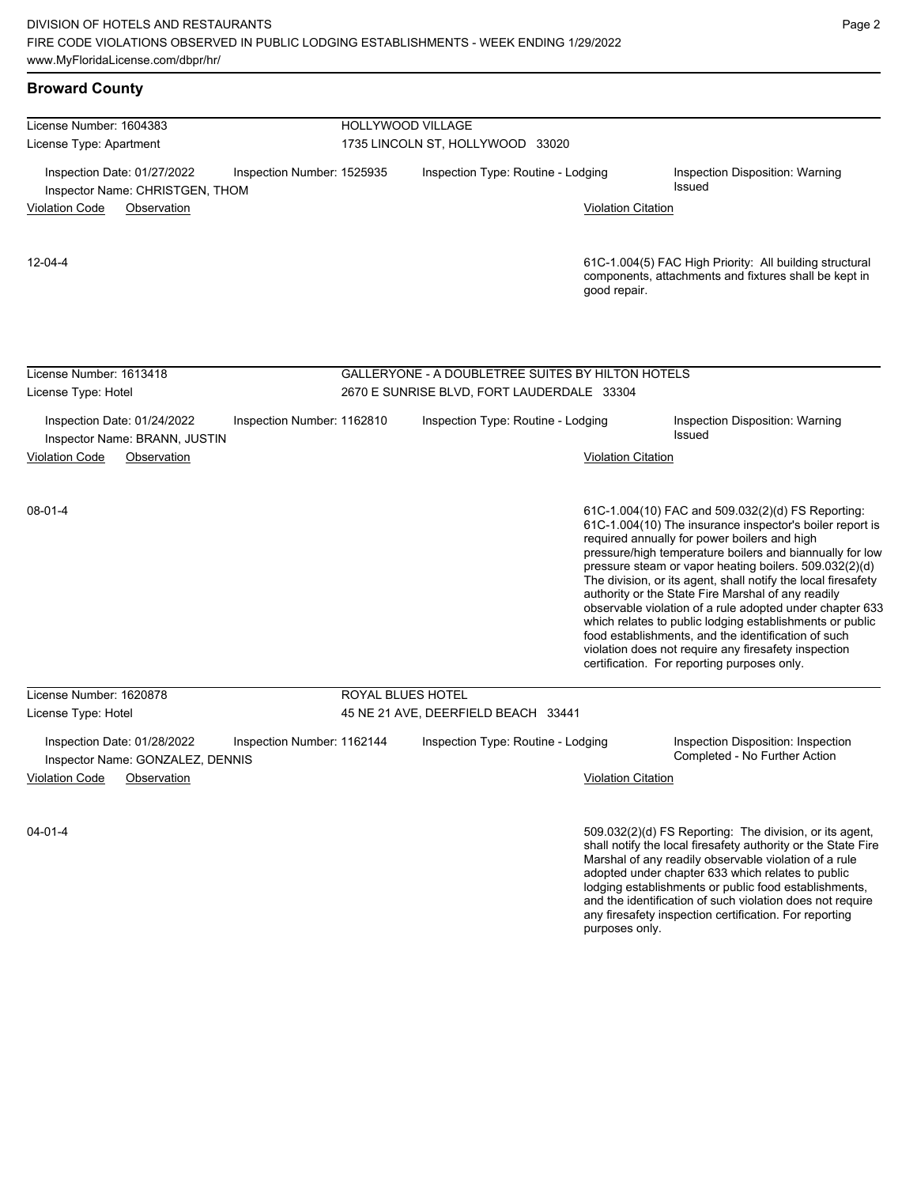## **Broward County**

| License Number: 1604383                                                                       | HOLLYWOOD VILLAGE                                 |                           |                                                                                                                                                                                                                                                                                                                                                                                                                                                                                                                                                                                                                                                                                                  |  |  |
|-----------------------------------------------------------------------------------------------|---------------------------------------------------|---------------------------|--------------------------------------------------------------------------------------------------------------------------------------------------------------------------------------------------------------------------------------------------------------------------------------------------------------------------------------------------------------------------------------------------------------------------------------------------------------------------------------------------------------------------------------------------------------------------------------------------------------------------------------------------------------------------------------------------|--|--|
| License Type: Apartment                                                                       | 1735 LINCOLN ST, HOLLYWOOD 33020                  |                           |                                                                                                                                                                                                                                                                                                                                                                                                                                                                                                                                                                                                                                                                                                  |  |  |
| Inspection Date: 01/27/2022<br>Inspection Number: 1525935<br>Inspector Name: CHRISTGEN, THOM  | Inspection Type: Routine - Lodging                |                           | <b>Inspection Disposition: Warning</b><br><b>Issued</b>                                                                                                                                                                                                                                                                                                                                                                                                                                                                                                                                                                                                                                          |  |  |
| <b>Violation Code</b><br>Observation                                                          |                                                   | <b>Violation Citation</b> |                                                                                                                                                                                                                                                                                                                                                                                                                                                                                                                                                                                                                                                                                                  |  |  |
| $12 - 04 - 4$                                                                                 |                                                   | good repair.              | 61C-1.004(5) FAC High Priority: All building structural<br>components, attachments and fixtures shall be kept in                                                                                                                                                                                                                                                                                                                                                                                                                                                                                                                                                                                 |  |  |
| License Number: 1613418                                                                       | GALLERYONE - A DOUBLETREE SUITES BY HILTON HOTELS |                           |                                                                                                                                                                                                                                                                                                                                                                                                                                                                                                                                                                                                                                                                                                  |  |  |
| License Type: Hotel                                                                           | 2670 E SUNRISE BLVD, FORT LAUDERDALE 33304        |                           |                                                                                                                                                                                                                                                                                                                                                                                                                                                                                                                                                                                                                                                                                                  |  |  |
| Inspection Date: 01/24/2022<br>Inspection Number: 1162810<br>Inspector Name: BRANN, JUSTIN    | Inspection Type: Routine - Lodging                |                           | <b>Inspection Disposition: Warning</b><br>Issued                                                                                                                                                                                                                                                                                                                                                                                                                                                                                                                                                                                                                                                 |  |  |
| <b>Violation Code</b><br>Observation                                                          |                                                   | <b>Violation Citation</b> |                                                                                                                                                                                                                                                                                                                                                                                                                                                                                                                                                                                                                                                                                                  |  |  |
| $08 - 01 - 4$                                                                                 |                                                   |                           | 61C-1.004(10) FAC and 509.032(2)(d) FS Reporting:<br>61C-1.004(10) The insurance inspector's boiler report is<br>required annually for power boilers and high<br>pressure/high temperature boilers and biannually for low<br>pressure steam or vapor heating boilers. 509.032(2)(d)<br>The division, or its agent, shall notify the local firesafety<br>authority or the State Fire Marshal of any readily<br>observable violation of a rule adopted under chapter 633<br>which relates to public lodging establishments or public<br>food establishments, and the identification of such<br>violation does not require any firesafety inspection<br>certification. For reporting purposes only. |  |  |
| License Number: 1620878                                                                       | ROYAL BLUES HOTEL                                 |                           |                                                                                                                                                                                                                                                                                                                                                                                                                                                                                                                                                                                                                                                                                                  |  |  |
| License Type: Hotel                                                                           | 45 NE 21 AVE, DEERFIELD BEACH 33441               |                           |                                                                                                                                                                                                                                                                                                                                                                                                                                                                                                                                                                                                                                                                                                  |  |  |
| Inspection Date: 01/28/2022<br>Inspection Number: 1162144<br>Inspector Name: GONZALEZ, DENNIS | Inspection Type: Routine - Lodging                |                           | Inspection Disposition: Inspection<br>Completed - No Further Action                                                                                                                                                                                                                                                                                                                                                                                                                                                                                                                                                                                                                              |  |  |
| <b>Violation Code</b><br>Observation                                                          |                                                   | <b>Violation Citation</b> |                                                                                                                                                                                                                                                                                                                                                                                                                                                                                                                                                                                                                                                                                                  |  |  |
| $04 - 01 - 4$                                                                                 |                                                   |                           | 509.032(2)(d) FS Reporting: The division, or its agent,<br>shall notify the local firesafety authority or the State Fire                                                                                                                                                                                                                                                                                                                                                                                                                                                                                                                                                                         |  |  |

Marshal of any readily observable violation of a rule adopted under chapter 633 which relates to public lodging establishments or public food establishments, and the identification of such violation does not require any firesafety inspection certification. For reporting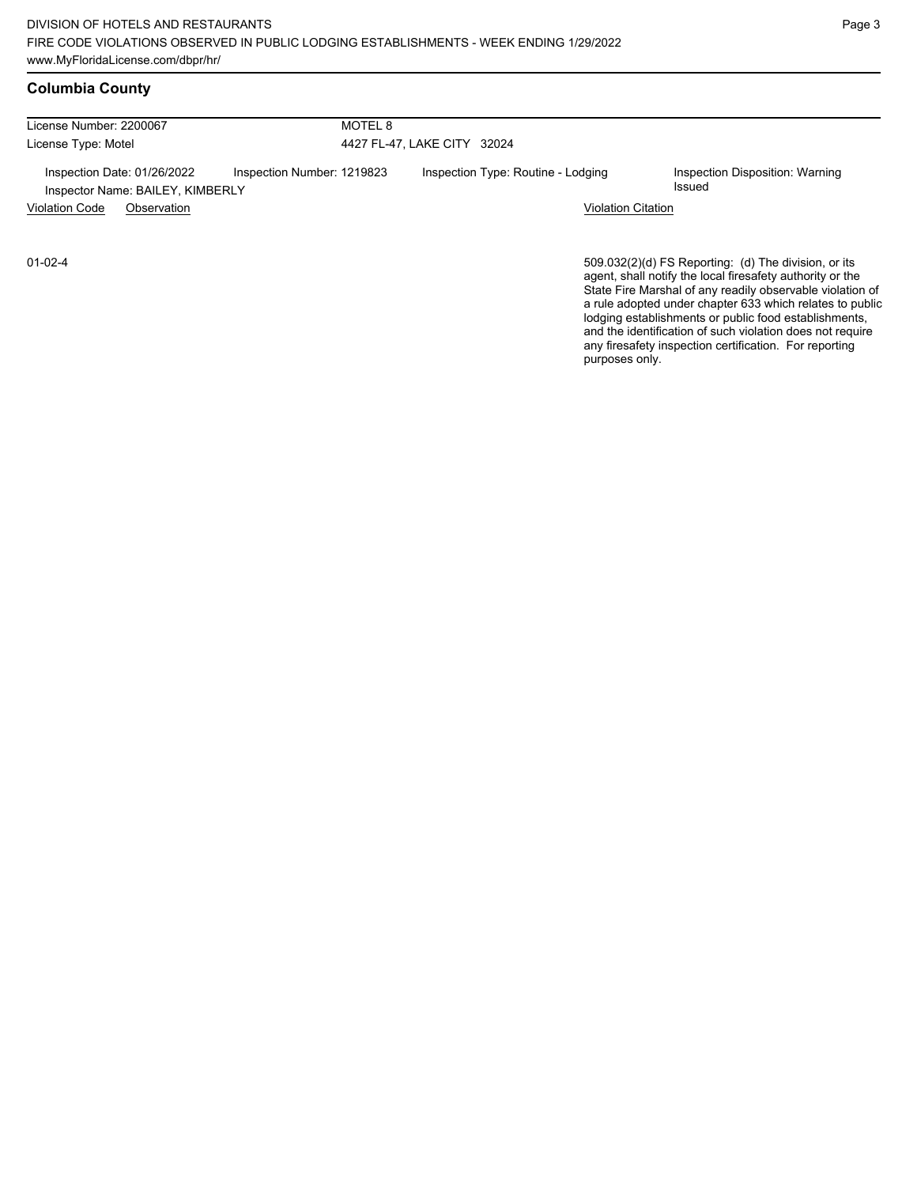## **Columbia County**

| License Number: 2200067 |                                                                                | MOTEL 8                    |                                                                 |                                                                                                                   |  |  |
|-------------------------|--------------------------------------------------------------------------------|----------------------------|-----------------------------------------------------------------|-------------------------------------------------------------------------------------------------------------------|--|--|
| License Type: Motel     |                                                                                |                            | 4427 FL-47, LAKE CITY 32024                                     |                                                                                                                   |  |  |
| <b>Violation Code</b>   | Inspection Date: 01/26/2022<br>Inspector Name: BAILEY, KIMBERLY<br>Observation | Inspection Number: 1219823 | Inspection Type: Routine - Lodging<br><b>Violation Citation</b> | Inspection Disposition: Warning<br><b>Issued</b>                                                                  |  |  |
| $01-02-4$               |                                                                                |                            |                                                                 | 509.032(2)(d) FS Reporting: (d) The division, or its<br>agent, shall notify the local firesafety authority or the |  |  |

agent, shall notify the local firesafety authority or the State Fire Marshal of any readily observable violation of a rule adopted under chapter 633 which relates to public lodging establishments or public food establishments, and the identification of such violation does not require any firesafety inspection certification. For reporting purposes only.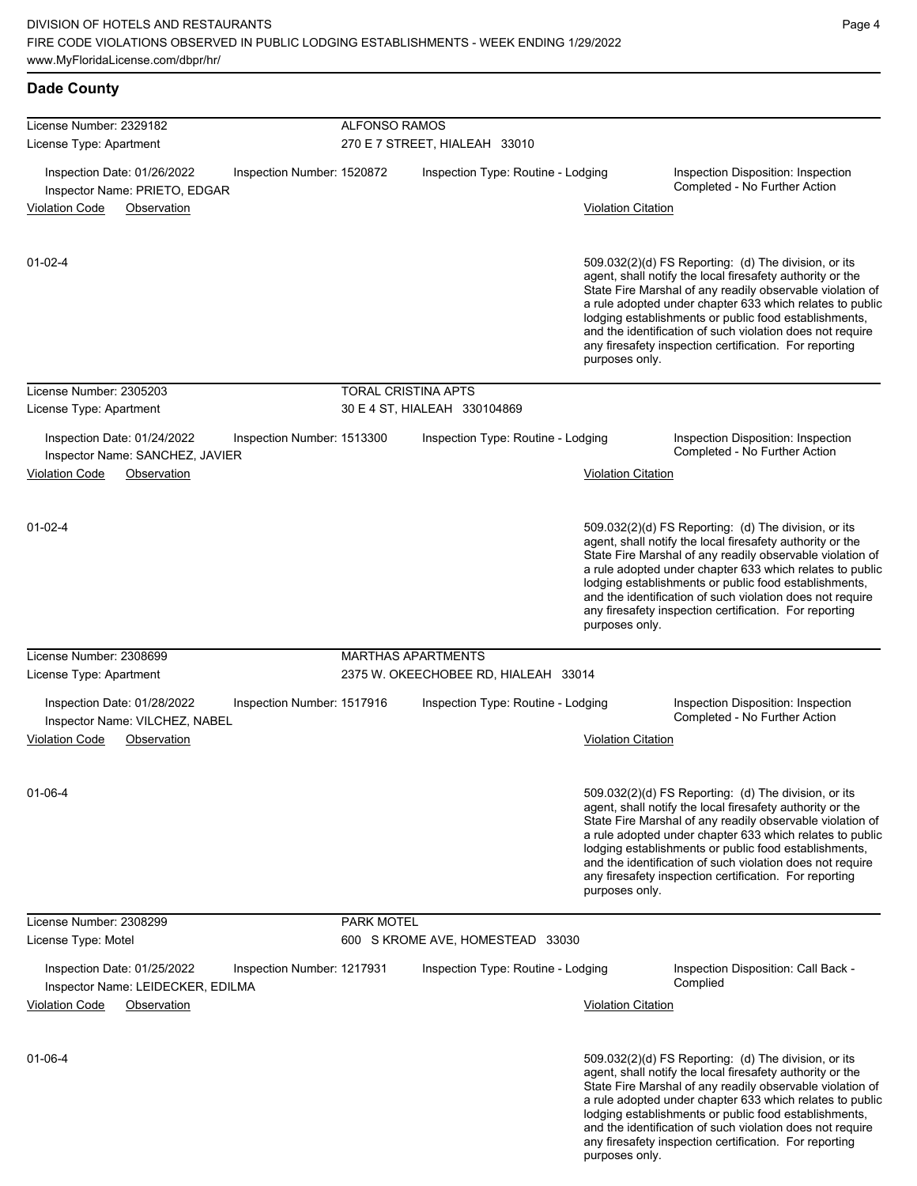any firesafety inspection certification. For reporting

| <b>Dade County</b>                                                                                    |                            |                            |                                                                                                                                                                                                                                                        |                                                                          |                                                                                                                                                                                                                                                                                                                                                                                                                            |  |
|-------------------------------------------------------------------------------------------------------|----------------------------|----------------------------|--------------------------------------------------------------------------------------------------------------------------------------------------------------------------------------------------------------------------------------------------------|--------------------------------------------------------------------------|----------------------------------------------------------------------------------------------------------------------------------------------------------------------------------------------------------------------------------------------------------------------------------------------------------------------------------------------------------------------------------------------------------------------------|--|
| License Number: 2329182                                                                               |                            | <b>ALFONSO RAMOS</b>       |                                                                                                                                                                                                                                                        |                                                                          |                                                                                                                                                                                                                                                                                                                                                                                                                            |  |
| License Type: Apartment                                                                               |                            |                            | 270 E 7 STREET, HIALEAH 33010                                                                                                                                                                                                                          |                                                                          |                                                                                                                                                                                                                                                                                                                                                                                                                            |  |
| Inspection Date: 01/26/2022<br>Inspector Name: PRIETO, EDGAR                                          | Inspection Number: 1520872 |                            | Inspection Type: Routine - Lodging                                                                                                                                                                                                                     |                                                                          | Inspection Disposition: Inspection<br>Completed - No Further Action                                                                                                                                                                                                                                                                                                                                                        |  |
| <b>Violation Code</b><br>Observation                                                                  |                            |                            |                                                                                                                                                                                                                                                        | <b>Violation Citation</b>                                                |                                                                                                                                                                                                                                                                                                                                                                                                                            |  |
| $01 - 02 - 4$                                                                                         |                            |                            |                                                                                                                                                                                                                                                        |                                                                          | 509.032(2)(d) FS Reporting: (d) The division, or its<br>agent, shall notify the local firesafety authority or the<br>State Fire Marshal of any readily observable violation of<br>a rule adopted under chapter 633 which relates to public<br>lodging establishments or public food establishments,<br>and the identification of such violation does not require                                                           |  |
|                                                                                                       |                            |                            |                                                                                                                                                                                                                                                        | any firesafety inspection certification. For reporting<br>purposes only. |                                                                                                                                                                                                                                                                                                                                                                                                                            |  |
| License Number: 2305203                                                                               |                            | <b>TORAL CRISTINA APTS</b> |                                                                                                                                                                                                                                                        |                                                                          |                                                                                                                                                                                                                                                                                                                                                                                                                            |  |
| License Type: Apartment                                                                               |                            |                            | 30 E 4 ST, HIALEAH 330104869                                                                                                                                                                                                                           |                                                                          |                                                                                                                                                                                                                                                                                                                                                                                                                            |  |
| Inspection Date: 01/24/2022<br>Inspector Name: SANCHEZ, JAVIER                                        | Inspection Number: 1513300 |                            | Inspection Type: Routine - Lodging                                                                                                                                                                                                                     |                                                                          | Inspection Disposition: Inspection<br>Completed - No Further Action                                                                                                                                                                                                                                                                                                                                                        |  |
| <b>Violation Code</b><br>Observation                                                                  |                            |                            | <b>Violation Citation</b>                                                                                                                                                                                                                              |                                                                          |                                                                                                                                                                                                                                                                                                                                                                                                                            |  |
| $01 - 02 - 4$                                                                                         |                            |                            | 509.032(2)(d) FS Reporting: (d) The division, or its<br>agent, shall notify the local firesafety authority or the<br>lodging establishments or public food establishments,<br>any firesafety inspection certification. For reporting<br>purposes only. |                                                                          | State Fire Marshal of any readily observable violation of<br>a rule adopted under chapter 633 which relates to public<br>and the identification of such violation does not require                                                                                                                                                                                                                                         |  |
| License Number: 2308699                                                                               |                            | <b>MARTHAS APARTMENTS</b>  |                                                                                                                                                                                                                                                        |                                                                          |                                                                                                                                                                                                                                                                                                                                                                                                                            |  |
| License Type: Apartment                                                                               |                            |                            | 2375 W. OKEECHOBEE RD, HIALEAH 33014                                                                                                                                                                                                                   |                                                                          |                                                                                                                                                                                                                                                                                                                                                                                                                            |  |
| Inspection Date: 01/28/2022<br>Inspector Name: VILCHEZ, NABEL<br><b>Violation Code</b><br>Observation | Inspection Number: 1517916 |                            | Inspection Type: Routine - Lodging                                                                                                                                                                                                                     | <b>Violation Citation</b>                                                | Inspection Disposition: Inspection<br>Completed - No Further Action                                                                                                                                                                                                                                                                                                                                                        |  |
|                                                                                                       |                            |                            |                                                                                                                                                                                                                                                        |                                                                          |                                                                                                                                                                                                                                                                                                                                                                                                                            |  |
| $01 - 06 - 4$                                                                                         |                            |                            |                                                                                                                                                                                                                                                        | purposes only.                                                           | 509.032(2)(d) FS Reporting: (d) The division, or its<br>agent, shall notify the local firesafety authority or the<br>State Fire Marshal of any readily observable violation of<br>a rule adopted under chapter 633 which relates to public<br>lodging establishments or public food establishments,<br>and the identification of such violation does not require<br>any firesafety inspection certification. For reporting |  |
| License Number: 2308299                                                                               |                            | <b>PARK MOTEL</b>          |                                                                                                                                                                                                                                                        |                                                                          |                                                                                                                                                                                                                                                                                                                                                                                                                            |  |
| License Type: Motel                                                                                   |                            |                            | 600 S KROME AVE, HOMESTEAD 33030                                                                                                                                                                                                                       |                                                                          |                                                                                                                                                                                                                                                                                                                                                                                                                            |  |
| Inspection Date: 01/25/2022<br>Inspector Name: LEIDECKER, EDILMA                                      | Inspection Number: 1217931 |                            | Inspection Type: Routine - Lodging                                                                                                                                                                                                                     |                                                                          | Inspection Disposition: Call Back -<br>Complied                                                                                                                                                                                                                                                                                                                                                                            |  |
| <b>Violation Code</b><br>Observation                                                                  |                            |                            |                                                                                                                                                                                                                                                        | <b>Violation Citation</b>                                                |                                                                                                                                                                                                                                                                                                                                                                                                                            |  |
| $01 - 06 - 4$                                                                                         |                            |                            |                                                                                                                                                                                                                                                        |                                                                          | 509.032(2)(d) FS Reporting: (d) The division, or its<br>agent, shall notify the local firesafety authority or the<br>State Fire Marshal of any readily observable violation of<br>a rule adopted under chapter 633 which relates to public<br>lodging establishments or public food establishments,<br>and the identification of such violation does not require                                                           |  |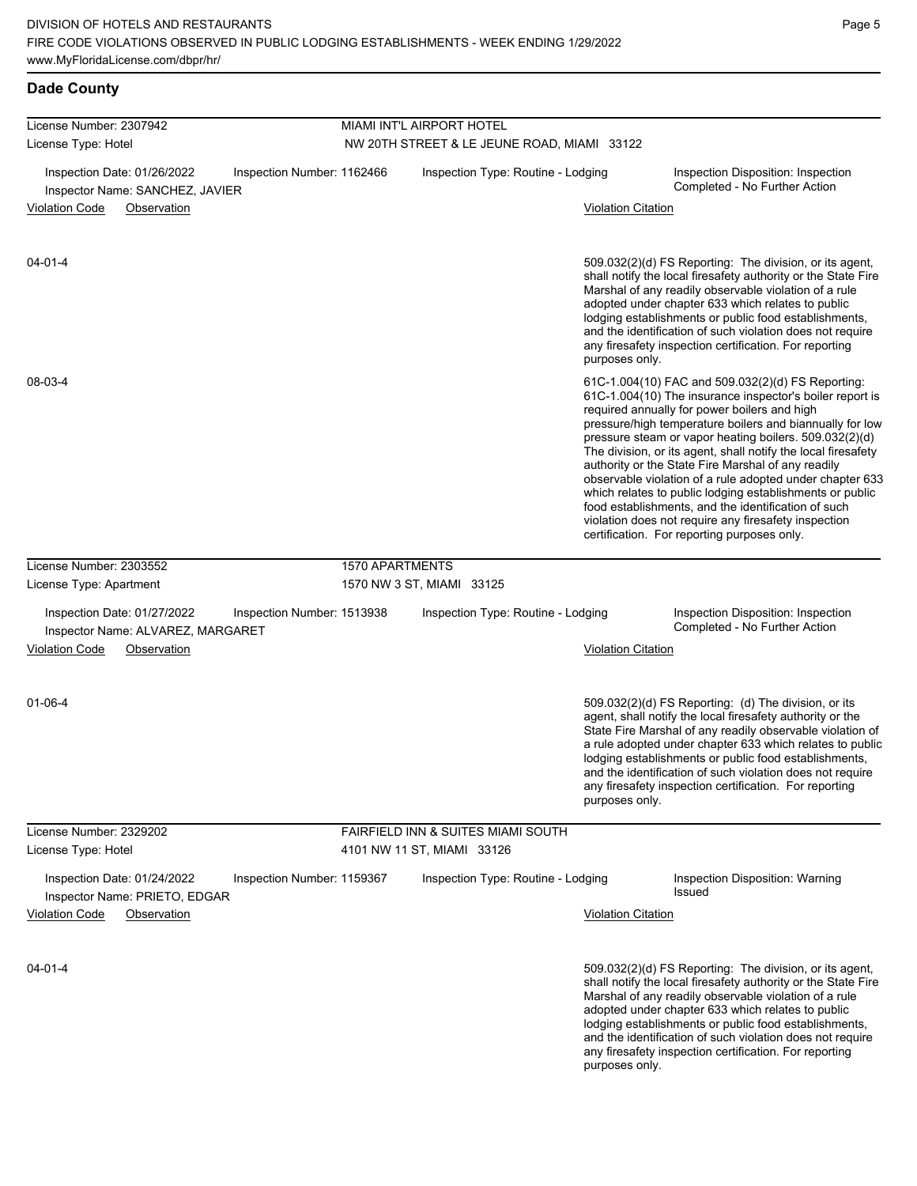**Dade County**

any firesafety inspection certification. For reporting

| License Number: 2307942                                                                                                                | MIAMI INT'L AIRPORT HOTEL                   |                                                                  |                           |                                                                                                                                                                                                                                                                                                                                                                                                                                                                                                                                                                                                                                                                                                  |  |  |
|----------------------------------------------------------------------------------------------------------------------------------------|---------------------------------------------|------------------------------------------------------------------|---------------------------|--------------------------------------------------------------------------------------------------------------------------------------------------------------------------------------------------------------------------------------------------------------------------------------------------------------------------------------------------------------------------------------------------------------------------------------------------------------------------------------------------------------------------------------------------------------------------------------------------------------------------------------------------------------------------------------------------|--|--|
| License Type: Hotel                                                                                                                    | NW 20TH STREET & LE JEUNE ROAD, MIAMI 33122 |                                                                  |                           |                                                                                                                                                                                                                                                                                                                                                                                                                                                                                                                                                                                                                                                                                                  |  |  |
| Inspection Date: 01/26/2022<br>Inspection Number: 1162466<br>Inspector Name: SANCHEZ, JAVIER                                           |                                             | Inspection Type: Routine - Lodging                               |                           | Inspection Disposition: Inspection<br>Completed - No Further Action                                                                                                                                                                                                                                                                                                                                                                                                                                                                                                                                                                                                                              |  |  |
| <b>Violation Code</b><br>Observation                                                                                                   |                                             |                                                                  | <b>Violation Citation</b> |                                                                                                                                                                                                                                                                                                                                                                                                                                                                                                                                                                                                                                                                                                  |  |  |
| $04 - 01 - 4$                                                                                                                          |                                             |                                                                  | purposes only.            | 509.032(2)(d) FS Reporting: The division, or its agent,<br>shall notify the local firesafety authority or the State Fire<br>Marshal of any readily observable violation of a rule<br>adopted under chapter 633 which relates to public<br>lodging establishments or public food establishments,<br>and the identification of such violation does not require<br>any firesafety inspection certification. For reporting                                                                                                                                                                                                                                                                           |  |  |
| 08-03-4                                                                                                                                |                                             |                                                                  |                           | 61C-1.004(10) FAC and 509.032(2)(d) FS Reporting:<br>61C-1.004(10) The insurance inspector's boiler report is<br>required annually for power boilers and high<br>pressure/high temperature boilers and biannually for low<br>pressure steam or vapor heating boilers. 509.032(2)(d)<br>The division, or its agent, shall notify the local firesafety<br>authority or the State Fire Marshal of any readily<br>observable violation of a rule adopted under chapter 633<br>which relates to public lodging establishments or public<br>food establishments, and the identification of such<br>violation does not require any firesafety inspection<br>certification. For reporting purposes only. |  |  |
| License Number: 2303552                                                                                                                | 1570 APARTMENTS                             |                                                                  |                           |                                                                                                                                                                                                                                                                                                                                                                                                                                                                                                                                                                                                                                                                                                  |  |  |
| License Type: Apartment                                                                                                                |                                             | 1570 NW 3 ST, MIAMI 33125                                        |                           |                                                                                                                                                                                                                                                                                                                                                                                                                                                                                                                                                                                                                                                                                                  |  |  |
| Inspection Date: 01/27/2022<br>Inspection Number: 1513938<br>Inspector Name: ALVAREZ, MARGARET<br><b>Violation Code</b><br>Observation |                                             | Inspection Type: Routine - Lodging                               | <b>Violation Citation</b> | Inspection Disposition: Inspection<br>Completed - No Further Action                                                                                                                                                                                                                                                                                                                                                                                                                                                                                                                                                                                                                              |  |  |
|                                                                                                                                        |                                             |                                                                  |                           |                                                                                                                                                                                                                                                                                                                                                                                                                                                                                                                                                                                                                                                                                                  |  |  |
| $01 - 06 - 4$                                                                                                                          |                                             |                                                                  | purposes only.            | 509.032(2)(d) FS Reporting: (d) The division, or its<br>agent, shall notify the local firesafety authority or the<br>State Fire Marshal of any readily observable violation of<br>a rule adopted under chapter 633 which relates to public<br>lodging establishments or public food establishments,<br>and the identification of such violation does not require<br>any firesafety inspection certification. For reporting                                                                                                                                                                                                                                                                       |  |  |
| License Number: 2329202<br>License Type: Hotel                                                                                         |                                             | FAIRFIELD INN & SUITES MIAMI SOUTH<br>4101 NW 11 ST, MIAMI 33126 |                           |                                                                                                                                                                                                                                                                                                                                                                                                                                                                                                                                                                                                                                                                                                  |  |  |
| Inspection Date: 01/24/2022<br>Inspection Number: 1159367<br>Inspector Name: PRIETO, EDGAR                                             |                                             | Inspection Type: Routine - Lodging                               |                           | Inspection Disposition: Warning<br>Issued                                                                                                                                                                                                                                                                                                                                                                                                                                                                                                                                                                                                                                                        |  |  |
| <b>Violation Code</b><br>Observation                                                                                                   |                                             |                                                                  | <b>Violation Citation</b> |                                                                                                                                                                                                                                                                                                                                                                                                                                                                                                                                                                                                                                                                                                  |  |  |
| $04 - 01 - 4$                                                                                                                          |                                             |                                                                  |                           | 509.032(2)(d) FS Reporting: The division, or its agent,<br>shall notify the local firesafety authority or the State Fire<br>Marshal of any readily observable violation of a rule<br>adopted under chapter 633 which relates to public<br>lodging establishments or public food establishments,<br>and the identification of such violation does not require                                                                                                                                                                                                                                                                                                                                     |  |  |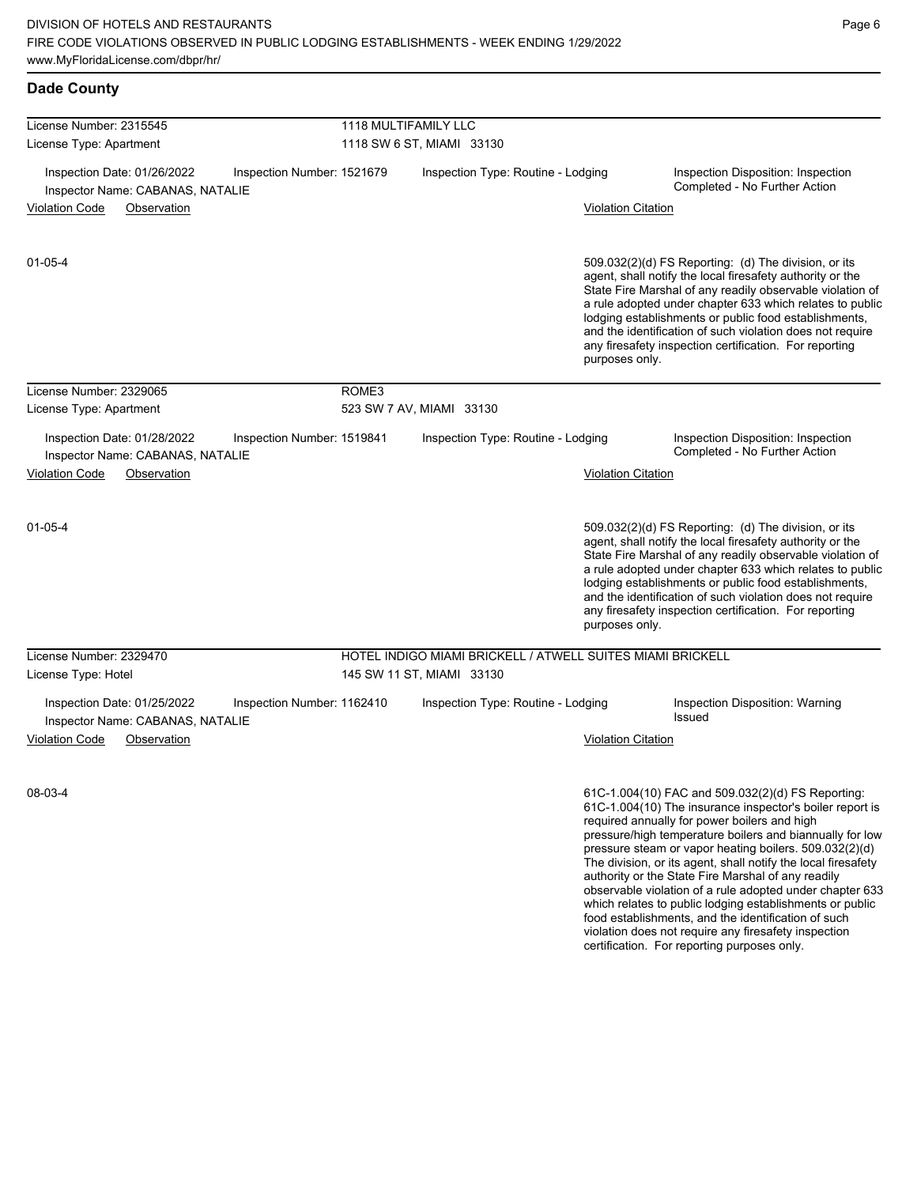violation does not require any firesafety inspection certification. For reporting purposes only.

| <b>Dade County</b>                                                                                      |                            |                                                            |                           |                                                                                                                                                                                                                                                                                                                                                                                                                                                                                                                                                                                           |  |  |
|---------------------------------------------------------------------------------------------------------|----------------------------|------------------------------------------------------------|---------------------------|-------------------------------------------------------------------------------------------------------------------------------------------------------------------------------------------------------------------------------------------------------------------------------------------------------------------------------------------------------------------------------------------------------------------------------------------------------------------------------------------------------------------------------------------------------------------------------------------|--|--|
| License Number: 2315545<br>License Type: Apartment                                                      |                            | <b>1118 MULTIFAMILY LLC</b><br>1118 SW 6 ST, MIAMI 33130   |                           |                                                                                                                                                                                                                                                                                                                                                                                                                                                                                                                                                                                           |  |  |
| Inspection Date: 01/26/2022<br>Inspector Name: CABANAS, NATALIE<br><b>Violation Code</b><br>Observation | Inspection Number: 1521679 | Inspection Type: Routine - Lodging                         | <b>Violation Citation</b> | Inspection Disposition: Inspection<br>Completed - No Further Action                                                                                                                                                                                                                                                                                                                                                                                                                                                                                                                       |  |  |
| $01 - 05 - 4$                                                                                           |                            |                                                            |                           | 509.032(2)(d) FS Reporting: (d) The division, or its                                                                                                                                                                                                                                                                                                                                                                                                                                                                                                                                      |  |  |
|                                                                                                         |                            |                                                            | purposes only.            | agent, shall notify the local firesafety authority or the<br>State Fire Marshal of any readily observable violation of<br>a rule adopted under chapter 633 which relates to public<br>lodging establishments or public food establishments,<br>and the identification of such violation does not require<br>any firesafety inspection certification. For reporting                                                                                                                                                                                                                        |  |  |
| License Number: 2329065                                                                                 | ROME3                      |                                                            |                           |                                                                                                                                                                                                                                                                                                                                                                                                                                                                                                                                                                                           |  |  |
| License Type: Apartment                                                                                 |                            | 523 SW 7 AV, MIAMI 33130                                   |                           |                                                                                                                                                                                                                                                                                                                                                                                                                                                                                                                                                                                           |  |  |
| Inspection Date: 01/28/2022<br>Inspector Name: CABANAS, NATALIE                                         | Inspection Number: 1519841 | Inspection Type: Routine - Lodging                         |                           | Inspection Disposition: Inspection<br>Completed - No Further Action                                                                                                                                                                                                                                                                                                                                                                                                                                                                                                                       |  |  |
| <b>Violation Code</b><br>Observation                                                                    |                            |                                                            | <b>Violation Citation</b> |                                                                                                                                                                                                                                                                                                                                                                                                                                                                                                                                                                                           |  |  |
| $01 - 05 - 4$                                                                                           |                            |                                                            | purposes only.            | 509.032(2)(d) FS Reporting: (d) The division, or its<br>agent, shall notify the local firesafety authority or the<br>State Fire Marshal of any readily observable violation of<br>a rule adopted under chapter 633 which relates to public<br>lodging establishments or public food establishments,<br>and the identification of such violation does not require<br>any firesafety inspection certification. For reporting                                                                                                                                                                |  |  |
| License Number: 2329470                                                                                 |                            | HOTEL INDIGO MIAMI BRICKELL / ATWELL SUITES MIAMI BRICKELL |                           |                                                                                                                                                                                                                                                                                                                                                                                                                                                                                                                                                                                           |  |  |
| License Type: Hotel                                                                                     |                            | 145 SW 11 ST, MIAMI 33130                                  |                           |                                                                                                                                                                                                                                                                                                                                                                                                                                                                                                                                                                                           |  |  |
| Inspection Date: 01/25/2022<br>Inspector Name: CABANAS, NATALIE                                         | Inspection Number: 1162410 | Inspection Type: Routine - Lodging                         |                           | Inspection Disposition: Warning<br><b>Issued</b>                                                                                                                                                                                                                                                                                                                                                                                                                                                                                                                                          |  |  |
| <b>Violation Code</b><br>Observation                                                                    |                            |                                                            | <b>Violation Citation</b> |                                                                                                                                                                                                                                                                                                                                                                                                                                                                                                                                                                                           |  |  |
| 08-03-4                                                                                                 |                            |                                                            |                           | 61C-1.004(10) FAC and 509.032(2)(d) FS Reporting:<br>61C-1.004(10) The insurance inspector's boiler report is<br>required annually for power boilers and high<br>pressure/high temperature boilers and biannually for low<br>pressure steam or vapor heating boilers. 509.032(2)(d)<br>The division, or its agent, shall notify the local firesafety<br>authority or the State Fire Marshal of any readily<br>observable violation of a rule adopted under chapter 633<br>which relates to public lodging establishments or public<br>food establishments, and the identification of such |  |  |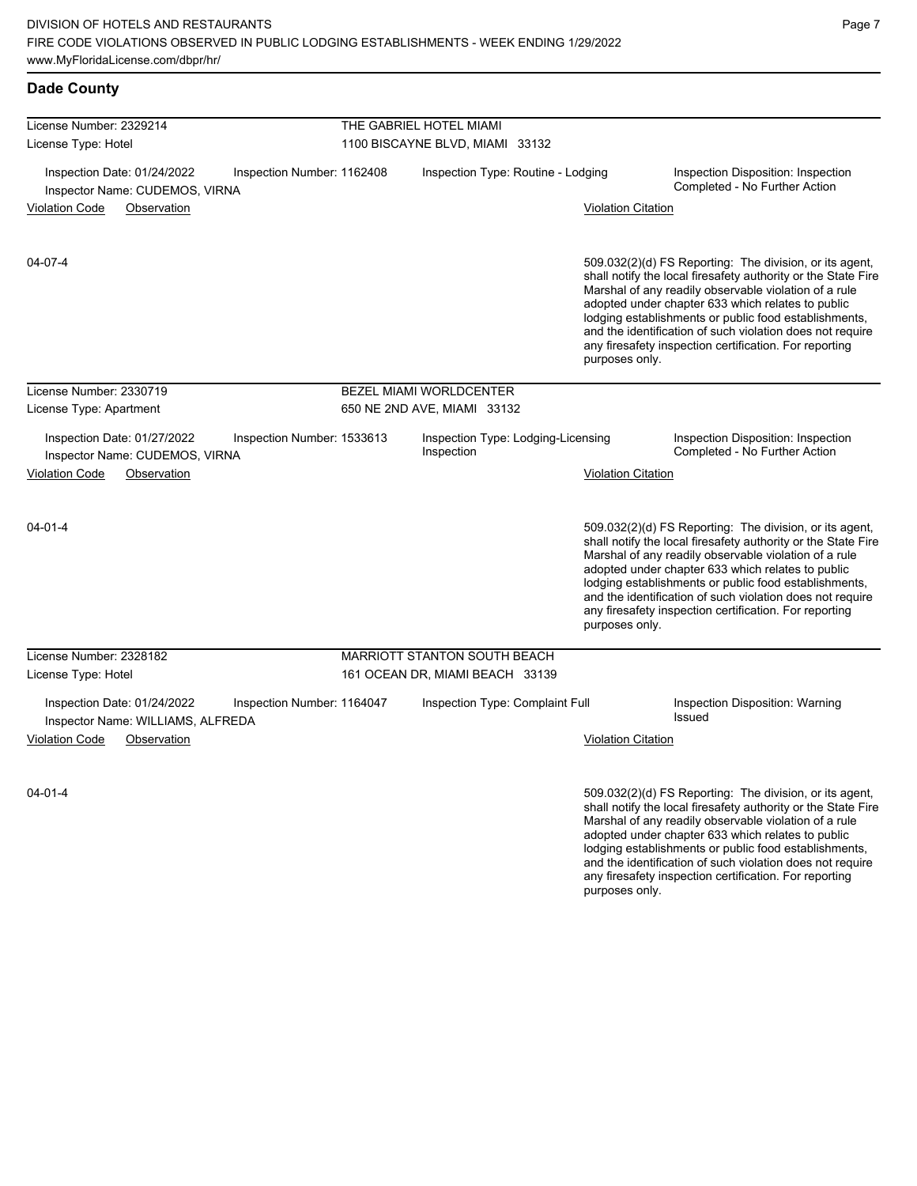| License Number: 2329214                                          |                            | THE GABRIEL HOTEL MIAMI                          |                           |                                                                                                                                                                                                                                                                                                                                                                                                                        |
|------------------------------------------------------------------|----------------------------|--------------------------------------------------|---------------------------|------------------------------------------------------------------------------------------------------------------------------------------------------------------------------------------------------------------------------------------------------------------------------------------------------------------------------------------------------------------------------------------------------------------------|
| License Type: Hotel                                              |                            | 1100 BISCAYNE BLVD, MIAMI 33132                  |                           |                                                                                                                                                                                                                                                                                                                                                                                                                        |
| Inspection Date: 01/24/2022<br>Inspector Name: CUDEMOS, VIRNA    | Inspection Number: 1162408 | Inspection Type: Routine - Lodging               |                           | Inspection Disposition: Inspection<br>Completed - No Further Action                                                                                                                                                                                                                                                                                                                                                    |
| <b>Violation Code</b><br>Observation                             |                            |                                                  | <b>Violation Citation</b> |                                                                                                                                                                                                                                                                                                                                                                                                                        |
| 04-07-4                                                          |                            |                                                  | purposes only.            | 509.032(2)(d) FS Reporting: The division, or its agent,<br>shall notify the local firesafety authority or the State Fire<br>Marshal of any readily observable violation of a rule<br>adopted under chapter 633 which relates to public<br>lodging establishments or public food establishments,<br>and the identification of such violation does not require<br>any firesafety inspection certification. For reporting |
| License Number: 2330719                                          |                            | <b>BEZEL MIAMI WORLDCENTER</b>                   |                           |                                                                                                                                                                                                                                                                                                                                                                                                                        |
| License Type: Apartment                                          |                            | 650 NE 2ND AVE, MIAMI 33132                      |                           |                                                                                                                                                                                                                                                                                                                                                                                                                        |
| Inspection Date: 01/27/2022<br>Inspector Name: CUDEMOS, VIRNA    | Inspection Number: 1533613 | Inspection Type: Lodging-Licensing<br>Inspection |                           | Inspection Disposition: Inspection<br>Completed - No Further Action                                                                                                                                                                                                                                                                                                                                                    |
| <b>Violation Code</b><br>Observation                             |                            |                                                  | <b>Violation Citation</b> |                                                                                                                                                                                                                                                                                                                                                                                                                        |
| $04 - 01 - 4$                                                    |                            |                                                  | purposes only.            | 509.032(2)(d) FS Reporting: The division, or its agent,<br>shall notify the local firesafety authority or the State Fire<br>Marshal of any readily observable violation of a rule<br>adopted under chapter 633 which relates to public<br>lodging establishments or public food establishments,<br>and the identification of such violation does not require<br>any firesafety inspection certification. For reporting |
| License Number: 2328182                                          |                            | <b>MARRIOTT STANTON SOUTH BEACH</b>              |                           |                                                                                                                                                                                                                                                                                                                                                                                                                        |
| License Type: Hotel                                              |                            | 161 OCEAN DR, MIAMI BEACH 33139                  |                           |                                                                                                                                                                                                                                                                                                                                                                                                                        |
| Inspection Date: 01/24/2022<br>Inspector Name: WILLIAMS, ALFREDA | Inspection Number: 1164047 | Inspection Type: Complaint Full                  |                           | Inspection Disposition: Warning<br>Issued                                                                                                                                                                                                                                                                                                                                                                              |
| <b>Violation Code</b><br>Observation                             |                            |                                                  | <b>Violation Citation</b> |                                                                                                                                                                                                                                                                                                                                                                                                                        |
| $04 - 01 - 4$                                                    |                            |                                                  |                           | 509.032(2)(d) FS Reporting: The division, or its agent,<br>shall notify the local firesafety authority or the State Fire<br>Marshal of any readily observable violation of a rule<br>adopted under chapter 633 which relates to public<br>lodging establishments or public food establishments,                                                                                                                        |

and the identification of such violation does not require any firesafety inspection certification. For reporting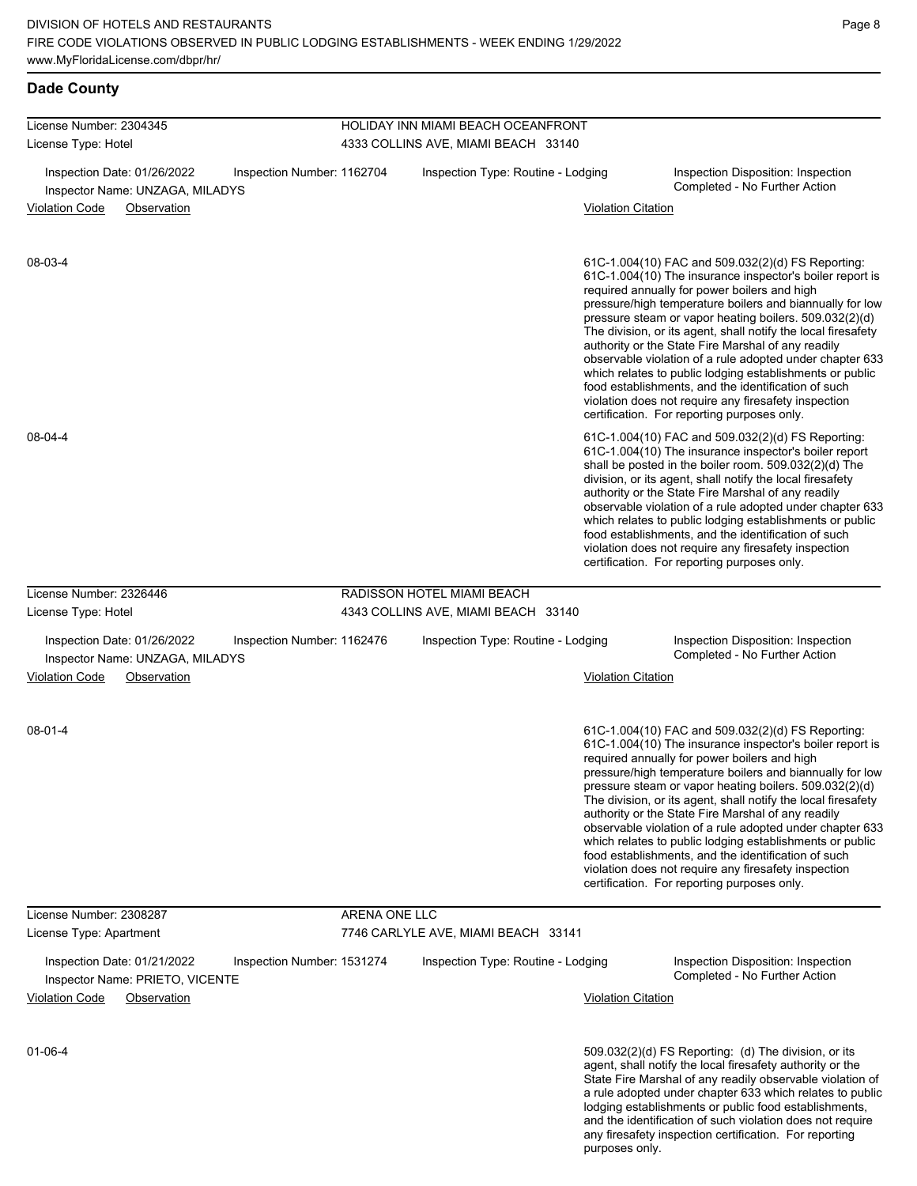**Dade County**

any firesafety inspection certification. For reporting

| License Number: 2304345                                                                      |                                    | HOLIDAY INN MIAMI BEACH OCEANFRONT                                                                        |                           |                                                                                                                                                                                                                                                                                                                                                                                                                                                                                                                                                                                                                                                                                                  |
|----------------------------------------------------------------------------------------------|------------------------------------|-----------------------------------------------------------------------------------------------------------|---------------------------|--------------------------------------------------------------------------------------------------------------------------------------------------------------------------------------------------------------------------------------------------------------------------------------------------------------------------------------------------------------------------------------------------------------------------------------------------------------------------------------------------------------------------------------------------------------------------------------------------------------------------------------------------------------------------------------------------|
| License Type: Hotel                                                                          |                                    | 4333 COLLINS AVE, MIAMI BEACH 33140                                                                       |                           |                                                                                                                                                                                                                                                                                                                                                                                                                                                                                                                                                                                                                                                                                                  |
| Inspection Date: 01/26/2022<br>Inspection Number: 1162704<br>Inspector Name: UNZAGA, MILADYS | Inspection Type: Routine - Lodging |                                                                                                           |                           | Inspection Disposition: Inspection<br>Completed - No Further Action                                                                                                                                                                                                                                                                                                                                                                                                                                                                                                                                                                                                                              |
| <b>Violation Code</b><br>Observation                                                         |                                    |                                                                                                           | <b>Violation Citation</b> |                                                                                                                                                                                                                                                                                                                                                                                                                                                                                                                                                                                                                                                                                                  |
| 08-03-4                                                                                      |                                    |                                                                                                           |                           | 61C-1.004(10) FAC and 509.032(2)(d) FS Reporting:<br>61C-1.004(10) The insurance inspector's boiler report is<br>required annually for power boilers and high<br>pressure/high temperature boilers and biannually for low<br>pressure steam or vapor heating boilers. 509.032(2)(d)<br>The division, or its agent, shall notify the local firesafety<br>authority or the State Fire Marshal of any readily<br>observable violation of a rule adopted under chapter 633<br>which relates to public lodging establishments or public<br>food establishments, and the identification of such<br>violation does not require any firesafety inspection<br>certification. For reporting purposes only. |
| 08-04-4                                                                                      |                                    |                                                                                                           |                           | 61C-1.004(10) FAC and 509.032(2)(d) FS Reporting:<br>61C-1.004(10) The insurance inspector's boiler report<br>shall be posted in the boiler room. 509.032(2)(d) The<br>division, or its agent, shall notify the local firesafety<br>authority or the State Fire Marshal of any readily<br>observable violation of a rule adopted under chapter 633<br>which relates to public lodging establishments or public<br>food establishments, and the identification of such<br>violation does not require any firesafety inspection<br>certification. For reporting purposes only.                                                                                                                     |
| License Number: 2326446                                                                      |                                    | RADISSON HOTEL MIAMI BEACH                                                                                |                           |                                                                                                                                                                                                                                                                                                                                                                                                                                                                                                                                                                                                                                                                                                  |
| License Type: Hotel                                                                          |                                    | 4343 COLLINS AVE, MIAMI BEACH 33140                                                                       |                           |                                                                                                                                                                                                                                                                                                                                                                                                                                                                                                                                                                                                                                                                                                  |
| Inspection Date: 01/26/2022<br>Inspection Number: 1162476<br>Inspector Name: UNZAGA, MILADYS |                                    | Inspection Type: Routine - Lodging<br>Inspection Disposition: Inspection<br>Completed - No Further Action |                           |                                                                                                                                                                                                                                                                                                                                                                                                                                                                                                                                                                                                                                                                                                  |
| <b>Violation Code</b><br>Observation                                                         |                                    |                                                                                                           | <b>Violation Citation</b> |                                                                                                                                                                                                                                                                                                                                                                                                                                                                                                                                                                                                                                                                                                  |
| 08-01-4                                                                                      |                                    |                                                                                                           |                           | 61C-1.004(10) FAC and 509.032(2)(d) FS Reporting:<br>61C-1.004(10) The insurance inspector's boiler report is<br>required annually for power boilers and high<br>pressure/high temperature boilers and biannually for low<br>pressure steam or vapor heating boilers. 509.032(2)(d)<br>The division, or its agent, shall notify the local firesafety<br>authority or the State Fire Marshal of any readily<br>observable violation of a rule adopted under chapter 633<br>which relates to public lodging establishments or public<br>food establishments, and the identification of such<br>violation does not require any firesafety inspection<br>certification. For reporting purposes only. |
| License Number: 2308287                                                                      | ARENA ONE LLC                      |                                                                                                           |                           |                                                                                                                                                                                                                                                                                                                                                                                                                                                                                                                                                                                                                                                                                                  |
| License Type: Apartment                                                                      |                                    | 7746 CARLYLE AVE, MIAMI BEACH 33141                                                                       |                           |                                                                                                                                                                                                                                                                                                                                                                                                                                                                                                                                                                                                                                                                                                  |
| Inspection Date: 01/21/2022<br>Inspection Number: 1531274<br>Inspector Name: PRIETO, VICENTE |                                    | Inspection Type: Routine - Lodging                                                                        |                           | Inspection Disposition: Inspection<br>Completed - No Further Action                                                                                                                                                                                                                                                                                                                                                                                                                                                                                                                                                                                                                              |
| <b>Violation Code</b><br>Observation                                                         |                                    |                                                                                                           | <b>Violation Citation</b> |                                                                                                                                                                                                                                                                                                                                                                                                                                                                                                                                                                                                                                                                                                  |
| $01 - 06 - 4$                                                                                |                                    |                                                                                                           |                           | 509.032(2)(d) FS Reporting: (d) The division, or its<br>agent, shall notify the local firesafety authority or the<br>State Fire Marshal of any readily observable violation of<br>a rule adopted under chapter 633 which relates to public<br>lodging establishments or public food establishments,<br>and the identification of such violation does not require                                                                                                                                                                                                                                                                                                                                 |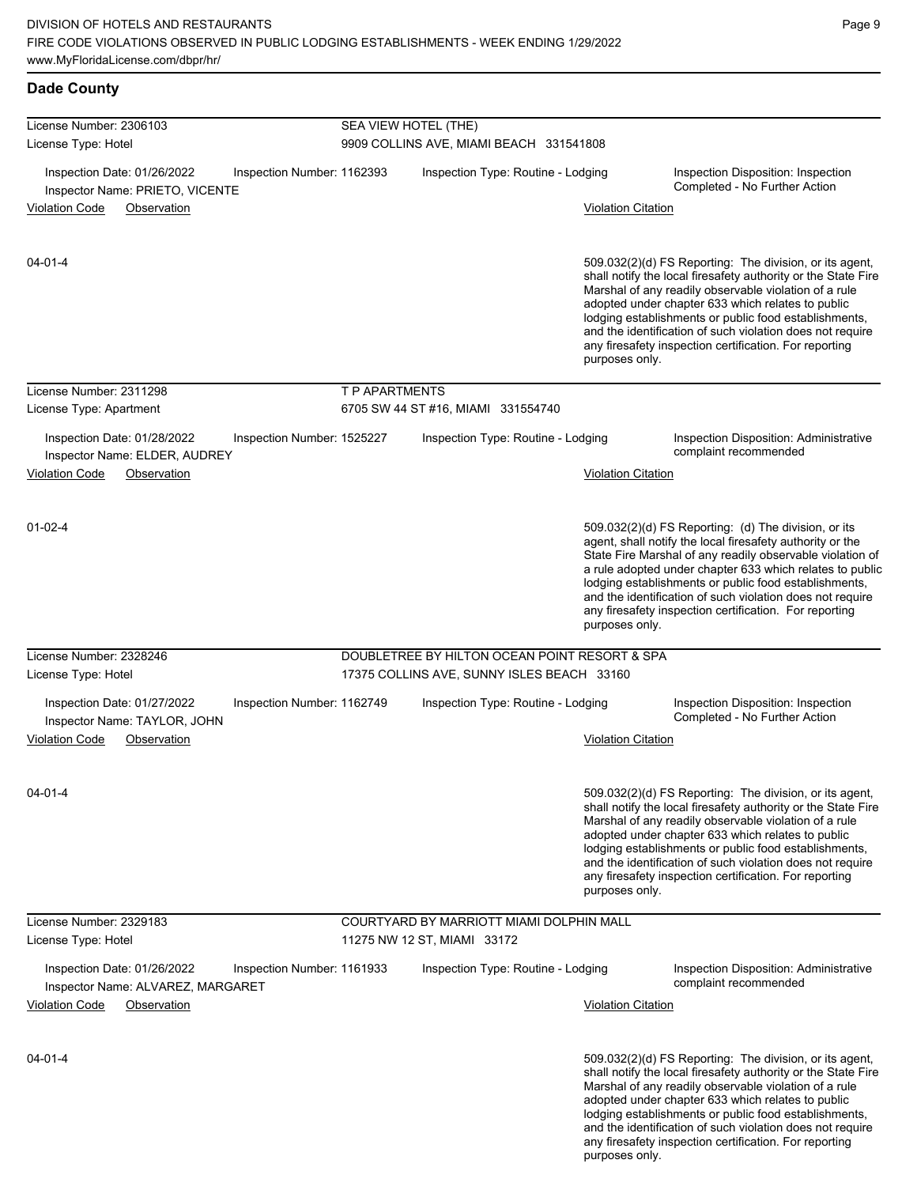**Dade County**

any firesafety inspection certification. For reporting

| License Number: 2306103                                                                        |                       | SEA VIEW HOTEL (THE)                          |                           |                                                                                                                                                                                                                                                                                                                                                                                                                            |  |  |  |
|------------------------------------------------------------------------------------------------|-----------------------|-----------------------------------------------|---------------------------|----------------------------------------------------------------------------------------------------------------------------------------------------------------------------------------------------------------------------------------------------------------------------------------------------------------------------------------------------------------------------------------------------------------------------|--|--|--|
| License Type: Hotel                                                                            |                       | 9909 COLLINS AVE, MIAMI BEACH 331541808       |                           |                                                                                                                                                                                                                                                                                                                                                                                                                            |  |  |  |
| Inspection Date: 01/26/2022<br>Inspection Number: 1162393<br>Inspector Name: PRIETO, VICENTE   |                       | Inspection Type: Routine - Lodging            |                           | Inspection Disposition: Inspection<br>Completed - No Further Action                                                                                                                                                                                                                                                                                                                                                        |  |  |  |
| <b>Violation Code</b><br>Observation                                                           |                       |                                               | <b>Violation Citation</b> |                                                                                                                                                                                                                                                                                                                                                                                                                            |  |  |  |
| $04 - 01 - 4$                                                                                  |                       |                                               | purposes only.            | 509.032(2)(d) FS Reporting: The division, or its agent,<br>shall notify the local firesafety authority or the State Fire<br>Marshal of any readily observable violation of a rule<br>adopted under chapter 633 which relates to public<br>lodging establishments or public food establishments,<br>and the identification of such violation does not require<br>any firesafety inspection certification. For reporting     |  |  |  |
| License Number: 2311298                                                                        | <b>T P APARTMENTS</b> |                                               |                           |                                                                                                                                                                                                                                                                                                                                                                                                                            |  |  |  |
| License Type: Apartment                                                                        |                       | 6705 SW 44 ST #16, MIAMI 331554740            |                           |                                                                                                                                                                                                                                                                                                                                                                                                                            |  |  |  |
| Inspection Date: 01/28/2022<br>Inspection Number: 1525227<br>Inspector Name: ELDER, AUDREY     |                       | Inspection Type: Routine - Lodging            |                           | Inspection Disposition: Administrative<br>complaint recommended                                                                                                                                                                                                                                                                                                                                                            |  |  |  |
| <b>Violation Code</b><br>Observation                                                           |                       |                                               | <b>Violation Citation</b> |                                                                                                                                                                                                                                                                                                                                                                                                                            |  |  |  |
| $01 - 02 - 4$                                                                                  |                       |                                               | purposes only.            | 509.032(2)(d) FS Reporting: (d) The division, or its<br>agent, shall notify the local firesafety authority or the<br>State Fire Marshal of any readily observable violation of<br>a rule adopted under chapter 633 which relates to public<br>lodging establishments or public food establishments,<br>and the identification of such violation does not require<br>any firesafety inspection certification. For reporting |  |  |  |
| License Number: 2328246                                                                        |                       | DOUBLETREE BY HILTON OCEAN POINT RESORT & SPA |                           |                                                                                                                                                                                                                                                                                                                                                                                                                            |  |  |  |
| License Type: Hotel                                                                            |                       | 17375 COLLINS AVE, SUNNY ISLES BEACH 33160    |                           |                                                                                                                                                                                                                                                                                                                                                                                                                            |  |  |  |
| Inspection Date: 01/27/2022<br>Inspection Number: 1162749<br>Inspector Name: TAYLOR, JOHN      |                       | Inspection Type: Routine - Lodging            |                           | Inspection Disposition: Inspection<br>Completed - No Further Action                                                                                                                                                                                                                                                                                                                                                        |  |  |  |
| <b>Violation Code</b><br>Observation                                                           |                       |                                               | Violation Citation        |                                                                                                                                                                                                                                                                                                                                                                                                                            |  |  |  |
| $04 - 01 - 4$                                                                                  |                       |                                               | purposes only.            | 509.032(2)(d) FS Reporting: The division, or its agent,<br>shall notify the local firesafety authority or the State Fire<br>Marshal of any readily observable violation of a rule<br>adopted under chapter 633 which relates to public<br>lodging establishments or public food establishments,<br>and the identification of such violation does not require<br>any firesafety inspection certification. For reporting     |  |  |  |
| License Number: 2329183                                                                        |                       | COURTYARD BY MARRIOTT MIAMI DOLPHIN MALL      |                           |                                                                                                                                                                                                                                                                                                                                                                                                                            |  |  |  |
| License Type: Hotel                                                                            |                       | 11275 NW 12 ST, MIAMI 33172                   |                           |                                                                                                                                                                                                                                                                                                                                                                                                                            |  |  |  |
| Inspection Date: 01/26/2022<br>Inspection Number: 1161933<br>Inspector Name: ALVAREZ, MARGARET |                       | Inspection Type: Routine - Lodging            |                           | Inspection Disposition: Administrative<br>complaint recommended                                                                                                                                                                                                                                                                                                                                                            |  |  |  |
| <b>Violation Code</b><br>Observation                                                           |                       |                                               | <b>Violation Citation</b> |                                                                                                                                                                                                                                                                                                                                                                                                                            |  |  |  |
| $04 - 01 - 4$                                                                                  |                       |                                               |                           | 509.032(2)(d) FS Reporting: The division, or its agent,<br>shall notify the local firesafety authority or the State Fire<br>Marshal of any readily observable violation of a rule<br>adopted under chapter 633 which relates to public<br>lodging establishments or public food establishments,<br>and the identification of such violation does not require                                                               |  |  |  |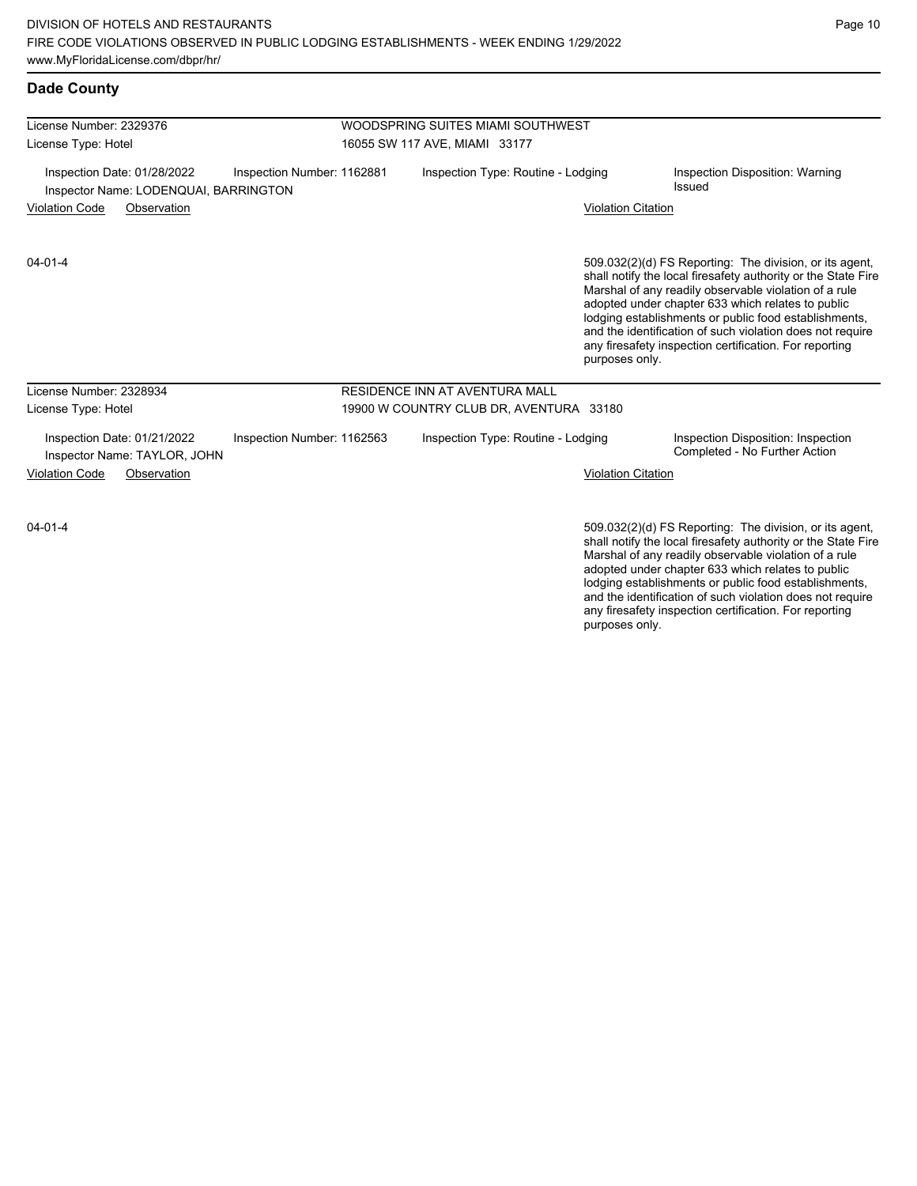| <b>Dade County</b>                                                                                                                |                                         |                                                                                                                                                                                                                                                                                                                                                                                                                                          |  |  |  |  |
|-----------------------------------------------------------------------------------------------------------------------------------|-----------------------------------------|------------------------------------------------------------------------------------------------------------------------------------------------------------------------------------------------------------------------------------------------------------------------------------------------------------------------------------------------------------------------------------------------------------------------------------------|--|--|--|--|
| License Number: 2329376                                                                                                           |                                         | WOODSPRING SUITES MIAMI SOUTHWEST                                                                                                                                                                                                                                                                                                                                                                                                        |  |  |  |  |
| License Type: Hotel                                                                                                               | 16055 SW 117 AVE, MIAMI 33177           |                                                                                                                                                                                                                                                                                                                                                                                                                                          |  |  |  |  |
| Inspection Date: 01/28/2022<br>Inspection Number: 1162881<br>Inspector Name: LODENQUAI, BARRINGTON                                | Inspection Type: Routine - Lodging      | Inspection Disposition: Warning<br>Issued                                                                                                                                                                                                                                                                                                                                                                                                |  |  |  |  |
| <b>Violation Code</b><br>Observation                                                                                              |                                         | <b>Violation Citation</b>                                                                                                                                                                                                                                                                                                                                                                                                                |  |  |  |  |
| $04 - 01 - 4$                                                                                                                     |                                         | 509.032(2)(d) FS Reporting: The division, or its agent,<br>shall notify the local firesafety authority or the State Fire<br>Marshal of any readily observable violation of a rule<br>adopted under chapter 633 which relates to public<br>lodging establishments or public food establishments,<br>and the identification of such violation does not require<br>any firesafety inspection certification. For reporting<br>purposes only. |  |  |  |  |
| License Number: 2328934                                                                                                           | <b>RESIDENCE INN AT AVENTURA MALL</b>   |                                                                                                                                                                                                                                                                                                                                                                                                                                          |  |  |  |  |
| License Type: Hotel                                                                                                               | 19900 W COUNTRY CLUB DR, AVENTURA 33180 |                                                                                                                                                                                                                                                                                                                                                                                                                                          |  |  |  |  |
| Inspection Date: 01/21/2022<br>Inspection Number: 1162563<br>Inspector Name: TAYLOR, JOHN<br><b>Violation Code</b><br>Observation | Inspection Type: Routine - Lodging      | Inspection Disposition: Inspection<br>Completed - No Further Action<br><b>Violation Citation</b>                                                                                                                                                                                                                                                                                                                                         |  |  |  |  |
| $04 - 01 - 4$                                                                                                                     |                                         | 509.032(2)(d) FS Reporting: The division, or its agent,<br>shall notify the local firesafety authority or the State Fire                                                                                                                                                                                                                                                                                                                 |  |  |  |  |

igent, te Fire Marshal of any readily observable violation of a rule adopted under chapter 633 which relates to public lodging establishments or public food establishments, and the identification of such violation does not require any firesafety inspection certification. For reporting purposes only.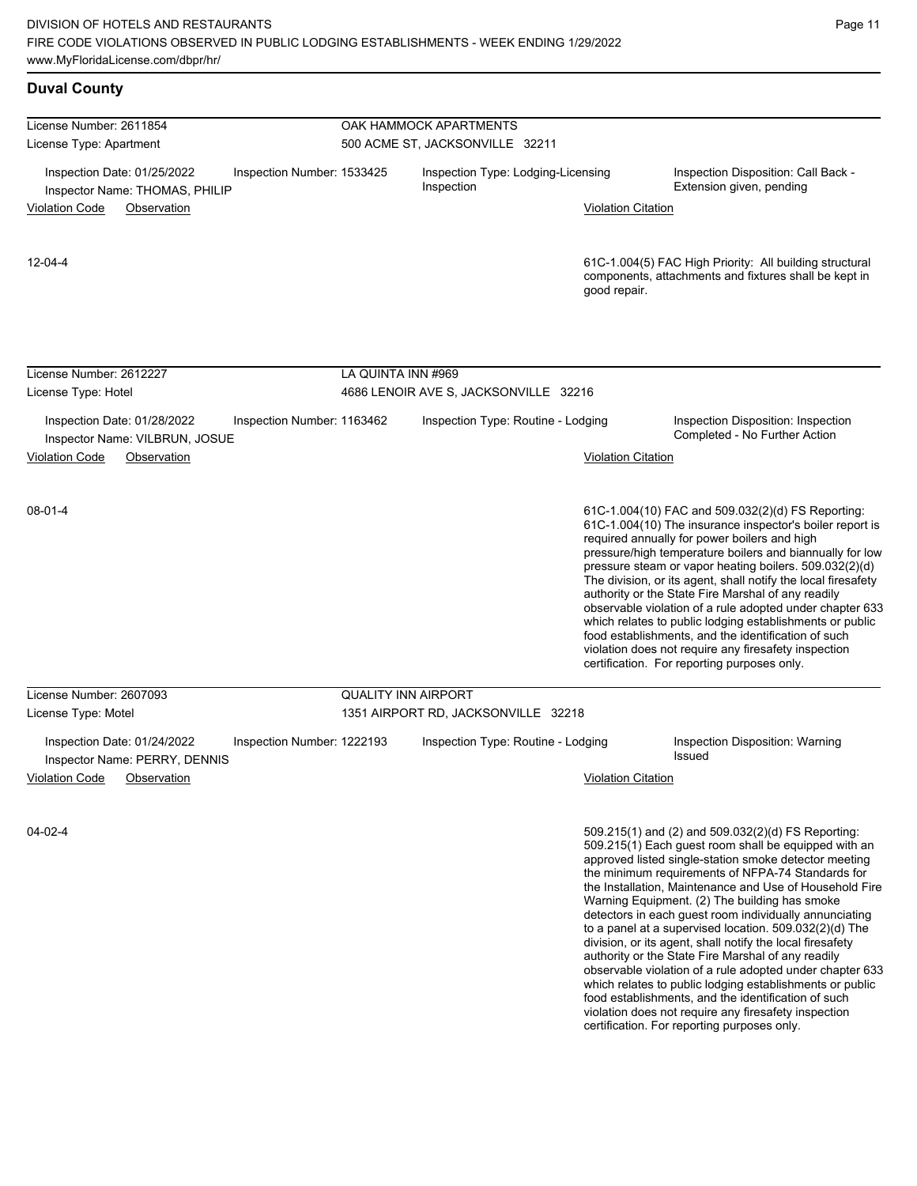## **Duval County**

| License Number: 2611854                                                                                                            |                            | OAK HAMMOCK APARTMENTS                           |                           |                                                                                                                                                                                                                                                                                                                                                                                                                                                                                                                                                                                                                                                                                                  |  |
|------------------------------------------------------------------------------------------------------------------------------------|----------------------------|--------------------------------------------------|---------------------------|--------------------------------------------------------------------------------------------------------------------------------------------------------------------------------------------------------------------------------------------------------------------------------------------------------------------------------------------------------------------------------------------------------------------------------------------------------------------------------------------------------------------------------------------------------------------------------------------------------------------------------------------------------------------------------------------------|--|
| License Type: Apartment                                                                                                            |                            | 500 ACME ST, JACKSONVILLE 32211                  |                           |                                                                                                                                                                                                                                                                                                                                                                                                                                                                                                                                                                                                                                                                                                  |  |
| Inspection Date: 01/25/2022<br>Inspection Number: 1533425<br>Inspector Name: THOMAS, PHILIP                                        |                            | Inspection Type: Lodging-Licensing<br>Inspection |                           | Inspection Disposition: Call Back -<br>Extension given, pending                                                                                                                                                                                                                                                                                                                                                                                                                                                                                                                                                                                                                                  |  |
| <b>Violation Code</b><br>Observation                                                                                               |                            |                                                  | <b>Violation Citation</b> |                                                                                                                                                                                                                                                                                                                                                                                                                                                                                                                                                                                                                                                                                                  |  |
|                                                                                                                                    |                            |                                                  |                           |                                                                                                                                                                                                                                                                                                                                                                                                                                                                                                                                                                                                                                                                                                  |  |
| $12 - 04 - 4$                                                                                                                      |                            |                                                  | good repair.              | 61C-1.004(5) FAC High Priority: All building structural<br>components, attachments and fixtures shall be kept in                                                                                                                                                                                                                                                                                                                                                                                                                                                                                                                                                                                 |  |
| License Number: 2612227                                                                                                            |                            |                                                  |                           |                                                                                                                                                                                                                                                                                                                                                                                                                                                                                                                                                                                                                                                                                                  |  |
| License Type: Hotel                                                                                                                | LA QUINTA INN #969         | 4686 LENOIR AVE S, JACKSONVILLE 32216            |                           |                                                                                                                                                                                                                                                                                                                                                                                                                                                                                                                                                                                                                                                                                                  |  |
| Inspection Date: 01/28/2022<br>Inspection Number: 1163462<br>Inspector Name: VILBRUN, JOSUE                                        |                            | Inspection Type: Routine - Lodging               |                           | Inspection Disposition: Inspection<br>Completed - No Further Action                                                                                                                                                                                                                                                                                                                                                                                                                                                                                                                                                                                                                              |  |
| <b>Violation Code</b><br>Observation                                                                                               |                            |                                                  | <b>Violation Citation</b> |                                                                                                                                                                                                                                                                                                                                                                                                                                                                                                                                                                                                                                                                                                  |  |
| 08-01-4                                                                                                                            |                            |                                                  |                           | 61C-1.004(10) FAC and 509.032(2)(d) FS Reporting:<br>61C-1.004(10) The insurance inspector's boiler report is<br>required annually for power boilers and high<br>pressure/high temperature boilers and biannually for low<br>pressure steam or vapor heating boilers. 509.032(2)(d)<br>The division, or its agent, shall notify the local firesafety<br>authority or the State Fire Marshal of any readily<br>observable violation of a rule adopted under chapter 633<br>which relates to public lodging establishments or public<br>food establishments, and the identification of such<br>violation does not require any firesafety inspection<br>certification. For reporting purposes only. |  |
| License Number: 2607093<br>License Type: Motel                                                                                     | <b>QUALITY INN AIRPORT</b> | 1351 AIRPORT RD, JACKSONVILLE 32218              |                           |                                                                                                                                                                                                                                                                                                                                                                                                                                                                                                                                                                                                                                                                                                  |  |
| Inspection Date: 01/24/2022<br>Inspection Number: 1222193<br>Inspector Name: PERRY, DENNIS<br><b>Violation Code</b><br>Observation |                            | Inspection Type: Routine - Lodging               | <b>Violation Citation</b> | Inspection Disposition: Warning<br>Issued                                                                                                                                                                                                                                                                                                                                                                                                                                                                                                                                                                                                                                                        |  |
| 04-02-4                                                                                                                            |                            |                                                  |                           | 509.215(1) and (2) and 509.032(2)(d) FS Reporting:<br>509.215(1) Each guest room shall be equipped with an<br>approved listed single-station smoke detector meeting<br>the minimum requirements of NFPA-74 Standards for<br>the Installation, Maintenance and Use of Household Fire<br>Warning Equipment. (2) The building has smoke<br>detectors in each guest room individually annunciating<br>to a panel at a supervised location. 509.032(2)(d) The<br>division, or its agent, shall notify the local firesafety<br>authority or the State Fire Marshal of any readily<br>observable violation of a rule adopted under chapter 633                                                          |  |

Page 11

which relates to public lodging establishments or public food establishments, and the identification of such violation does not require any firesafety inspection certification. For reporting purposes only.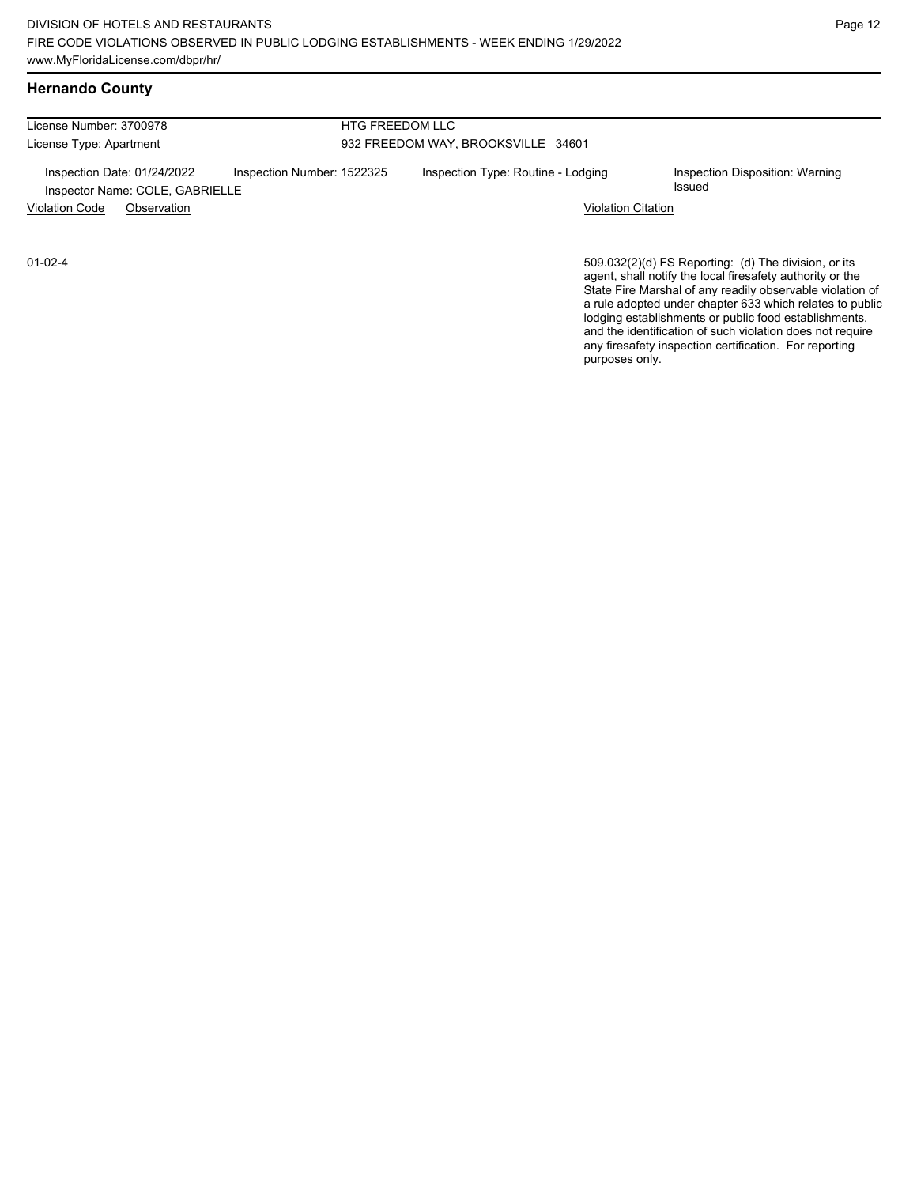## **Hernando County**

License Number: 3700978 License Type: Apartment HTG FREEDOM LLC 932 FREEDOM WAY, BROOKSVILLE 34601 Inspection Date: 01/24/2022 Inspection Number: 1522325 Inspection Type: Routine - Lodging Inspection Disposition: Warning<br>Inspector Name: COLE CARPIELLE Inspector Name: COLE, GABRIELLE Violation Code Observation Violation Citation

01-02-4

509.032(2)(d) FS Reporting: (d) The division, or its agent, shall notify the local firesafety authority or the State Fire Marshal of any readily observable violation of a rule adopted under chapter 633 which relates to public lodging establishments or public food establishments, and the identification of such violation does not require any firesafety inspection certification. For reporting purposes only.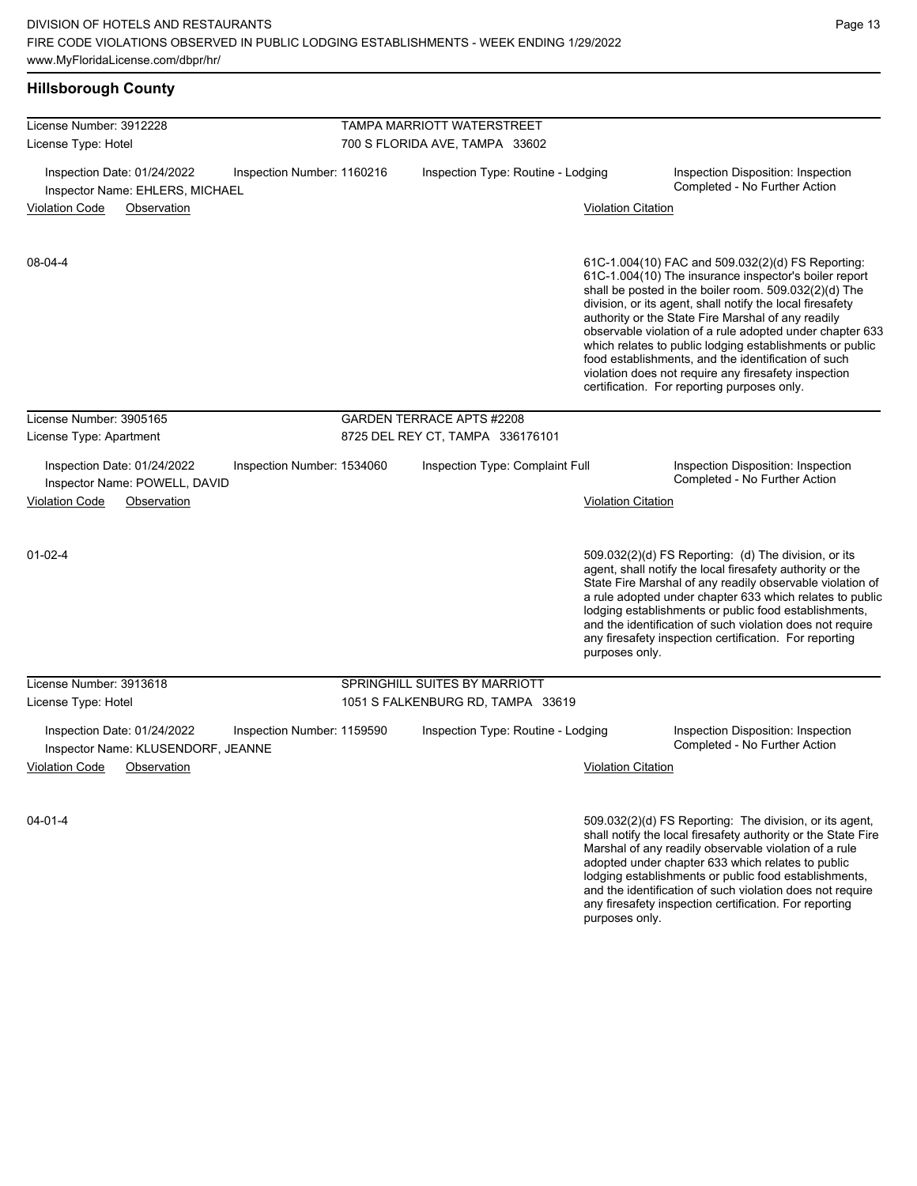adopted under chapter 633 which relates to public lodging establishments or public food establishments, and the identification of such violation does not require any firesafety inspection certification. For reporting

| <b>Hillsborough County</b>                                                                      |                                    |                           |                                                                                                                                                                                                                                                                                                                                                                                                                                                                                                                                                                              |  |  |
|-------------------------------------------------------------------------------------------------|------------------------------------|---------------------------|------------------------------------------------------------------------------------------------------------------------------------------------------------------------------------------------------------------------------------------------------------------------------------------------------------------------------------------------------------------------------------------------------------------------------------------------------------------------------------------------------------------------------------------------------------------------------|--|--|
| License Number: 3912228                                                                         | <b>TAMPA MARRIOTT WATERSTREET</b>  |                           |                                                                                                                                                                                                                                                                                                                                                                                                                                                                                                                                                                              |  |  |
| License Type: Hotel                                                                             | 700 S FLORIDA AVE, TAMPA 33602     |                           |                                                                                                                                                                                                                                                                                                                                                                                                                                                                                                                                                                              |  |  |
| Inspection Date: 01/24/2022<br>Inspection Number: 1160216<br>Inspector Name: EHLERS, MICHAEL    | Inspection Type: Routine - Lodging |                           | Inspection Disposition: Inspection<br>Completed - No Further Action                                                                                                                                                                                                                                                                                                                                                                                                                                                                                                          |  |  |
| <b>Violation Code</b><br>Observation                                                            |                                    | <b>Violation Citation</b> |                                                                                                                                                                                                                                                                                                                                                                                                                                                                                                                                                                              |  |  |
| 08-04-4                                                                                         |                                    |                           | 61C-1.004(10) FAC and 509.032(2)(d) FS Reporting:<br>61C-1.004(10) The insurance inspector's boiler report<br>shall be posted in the boiler room. 509.032(2)(d) The<br>division, or its agent, shall notify the local firesafety<br>authority or the State Fire Marshal of any readily<br>observable violation of a rule adopted under chapter 633<br>which relates to public lodging establishments or public<br>food establishments, and the identification of such<br>violation does not require any firesafety inspection<br>certification. For reporting purposes only. |  |  |
| License Number: 3905165                                                                         | <b>GARDEN TERRACE APTS #2208</b>   |                           |                                                                                                                                                                                                                                                                                                                                                                                                                                                                                                                                                                              |  |  |
| License Type: Apartment                                                                         | 8725 DEL REY CT, TAMPA 336176101   |                           |                                                                                                                                                                                                                                                                                                                                                                                                                                                                                                                                                                              |  |  |
| Inspection Date: 01/24/2022<br>Inspection Number: 1534060<br>Inspector Name: POWELL, DAVID      | Inspection Type: Complaint Full    |                           | Inspection Disposition: Inspection<br>Completed - No Further Action                                                                                                                                                                                                                                                                                                                                                                                                                                                                                                          |  |  |
| <b>Violation Code</b><br>Observation                                                            |                                    | <b>Violation Citation</b> |                                                                                                                                                                                                                                                                                                                                                                                                                                                                                                                                                                              |  |  |
| $01 - 02 - 4$                                                                                   |                                    | purposes only.            | 509.032(2)(d) FS Reporting: (d) The division, or its<br>agent, shall notify the local firesafety authority or the<br>State Fire Marshal of any readily observable violation of<br>a rule adopted under chapter 633 which relates to public<br>lodging establishments or public food establishments,<br>and the identification of such violation does not require<br>any firesafety inspection certification. For reporting                                                                                                                                                   |  |  |
| License Number: 3913618                                                                         | SPRINGHILL SUITES BY MARRIOTT      |                           |                                                                                                                                                                                                                                                                                                                                                                                                                                                                                                                                                                              |  |  |
| License Type: Hotel                                                                             | 1051 S FALKENBURG RD, TAMPA 33619  |                           |                                                                                                                                                                                                                                                                                                                                                                                                                                                                                                                                                                              |  |  |
| Inspection Date: 01/24/2022<br>Inspection Number: 1159590<br>Inspector Name: KLUSENDORF, JEANNE | Inspection Type: Routine - Lodging |                           | Inspection Disposition: Inspection<br>Completed - No Further Action                                                                                                                                                                                                                                                                                                                                                                                                                                                                                                          |  |  |
| <b>Violation Code</b><br>Observation                                                            |                                    | <b>Violation Citation</b> |                                                                                                                                                                                                                                                                                                                                                                                                                                                                                                                                                                              |  |  |
| $04 - 01 - 4$                                                                                   |                                    |                           | 509.032(2)(d) FS Reporting: The division, or its agent,<br>shall notify the local firesafety authority or the State Fire<br>Marshal of any readily observable violation of a rule                                                                                                                                                                                                                                                                                                                                                                                            |  |  |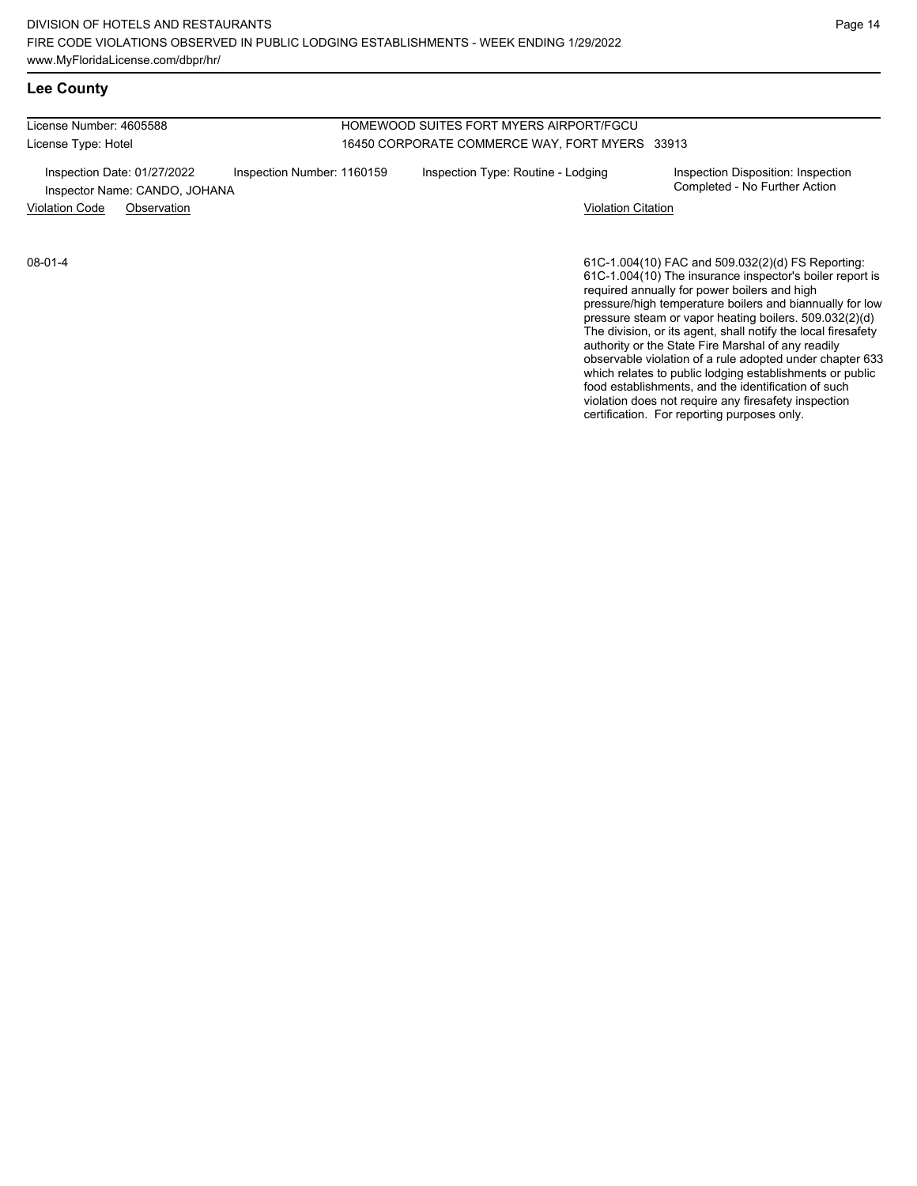# **Lee County**

License Number: 4605588 License Type: Hotel

### HOMEWOOD SUITES FORT MYERS AIRPORT/FGCU 16450 CORPORATE COMMERCE WAY, FORT MYERS 33913

Inspection Date: 01/27/2022 Inspection Number: 1160159 Inspection Type: Routine - Lodging Inspection Disposition: Inspection<br>Inspector Name: CANDO JOHANA Inspector Name: CANDO, JOHANA

Violation Code Observation Violation Citation

08-01-4

61C-1.004(10) FAC and 509.032(2)(d) FS Reporting: 61C-1.004(10) The insurance inspector's boiler report is required annually for power boilers and high pressure/high temperature boilers and biannually for low pressure steam or vapor heating boilers. 509.032(2)(d) The division, or its agent, shall notify the local firesafety authority or the State Fire Marshal of any readily observable violation of a rule adopted under chapter 633 which relates to public lodging establishments or public food establishments, and the identification of such violation does not require any firesafety inspection certification. For reporting purposes only.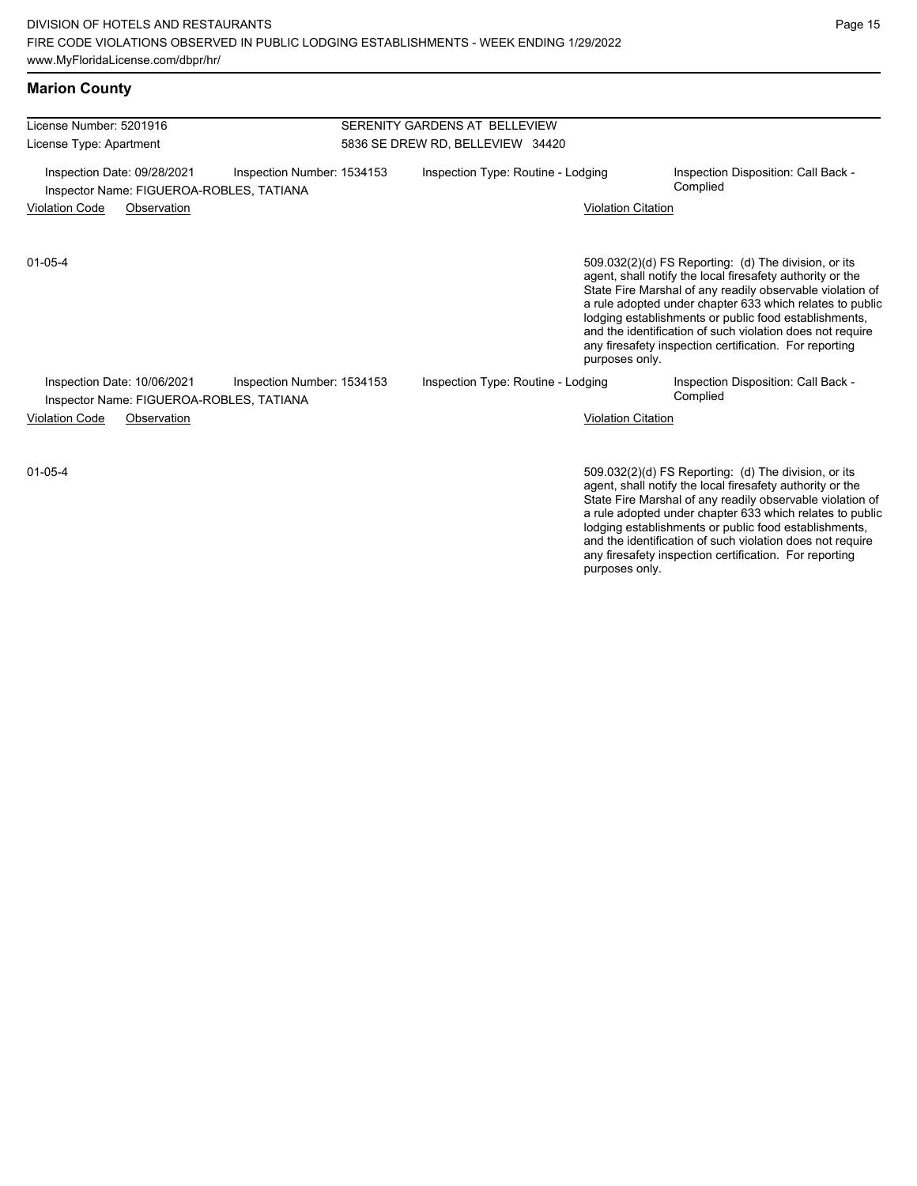## **Marion County** License Number: 5201916 License Type: Apartment SERENITY GARDENS AT BELLEVIEW 5836 SE DREW RD, BELLEVIEW 34420 Inspection Date: 09/28/2021 Inspection Number: 1534153 Inspection Type: Routine - Lodging Inspection Disposition: Call Back -Inspector Name: FIGUEROA-ROBLES, TATIANA Violation Code Observation Violation Citation 509.032(2)(d) FS Reporting: (d) The division, or its agent, shall notify the local firesafety authority or the State Fire Marshal of any readily observable violation of a rule adopted under chapter 633 which relates to public lodging establishments or public food establishments, and the identification of such violation does not require any firesafety inspection certification. For reporting purposes only. 01-05-4 Inspection Date: 10/06/2021 Inspection Number: 1534153 Inspection Type: Routine - Lodging Inspection Disposition: Call Back -<br>Inspector Name: FIGUEROA-ROBLES TATIANA Inspector Name: FIGUEROA-ROBLES, TATIANA Violation Code Observation **Violation Citation** Violation Citation Citation

01-05-4

509.032(2)(d) FS Reporting: (d) The division, or its agent, shall notify the local firesafety authority or the State Fire Marshal of any readily observable violation of a rule adopted under chapter 633 which relates to public lodging establishments or public food establishments, and the identification of such violation does not require any firesafety inspection certification. For reporting purposes only.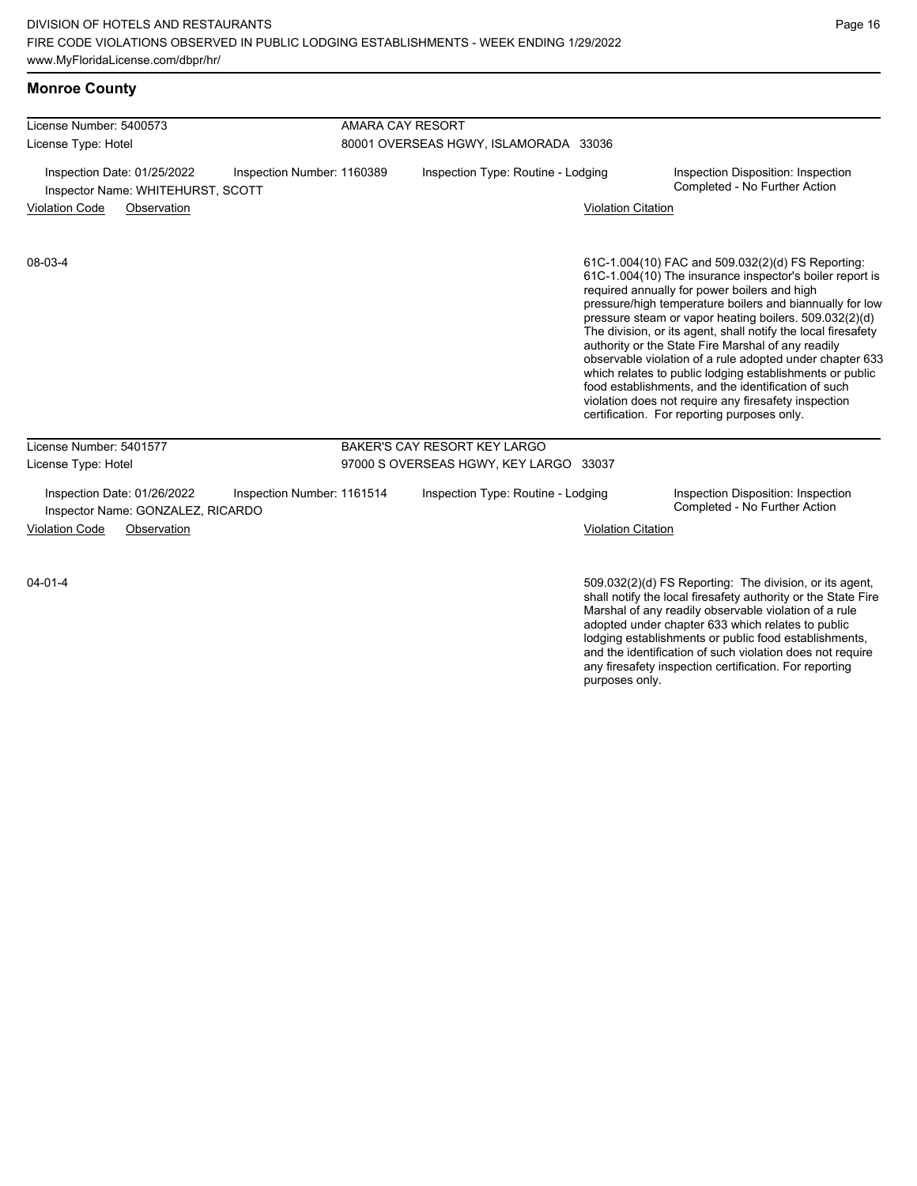| <b>Monroe County</b>                                                                           |                                        |                           |                                                                                                                                                                                                                                                                                                                                                                                                                                                                                                                                                                                                                                                                                                  |
|------------------------------------------------------------------------------------------------|----------------------------------------|---------------------------|--------------------------------------------------------------------------------------------------------------------------------------------------------------------------------------------------------------------------------------------------------------------------------------------------------------------------------------------------------------------------------------------------------------------------------------------------------------------------------------------------------------------------------------------------------------------------------------------------------------------------------------------------------------------------------------------------|
| License Number: 5400573                                                                        | AMARA CAY RESORT                       |                           |                                                                                                                                                                                                                                                                                                                                                                                                                                                                                                                                                                                                                                                                                                  |
| License Type: Hotel                                                                            | 80001 OVERSEAS HGWY, ISLAMORADA 33036  |                           |                                                                                                                                                                                                                                                                                                                                                                                                                                                                                                                                                                                                                                                                                                  |
| Inspection Number: 1160389<br>Inspection Date: 01/25/2022<br>Inspector Name: WHITEHURST, SCOTT | Inspection Type: Routine - Lodging     |                           | Inspection Disposition: Inspection<br>Completed - No Further Action                                                                                                                                                                                                                                                                                                                                                                                                                                                                                                                                                                                                                              |
| <b>Violation Code</b><br>Observation                                                           |                                        | <b>Violation Citation</b> |                                                                                                                                                                                                                                                                                                                                                                                                                                                                                                                                                                                                                                                                                                  |
| 08-03-4                                                                                        |                                        |                           | 61C-1.004(10) FAC and 509.032(2)(d) FS Reporting:<br>61C-1.004(10) The insurance inspector's boiler report is<br>required annually for power boilers and high<br>pressure/high temperature boilers and biannually for low<br>pressure steam or vapor heating boilers. 509.032(2)(d)<br>The division, or its agent, shall notify the local firesafety<br>authority or the State Fire Marshal of any readily<br>observable violation of a rule adopted under chapter 633<br>which relates to public lodging establishments or public<br>food establishments, and the identification of such<br>violation does not require any firesafety inspection<br>certification. For reporting purposes only. |
| License Number: 5401577                                                                        | BAKER'S CAY RESORT KEY LARGO           |                           |                                                                                                                                                                                                                                                                                                                                                                                                                                                                                                                                                                                                                                                                                                  |
| License Type: Hotel                                                                            | 97000 S OVERSEAS HGWY, KEY LARGO 33037 |                           |                                                                                                                                                                                                                                                                                                                                                                                                                                                                                                                                                                                                                                                                                                  |
| Inspection Number: 1161514<br>Inspection Date: 01/26/2022<br>Inspector Name: GONZALEZ, RICARDO | Inspection Type: Routine - Lodging     |                           | Inspection Disposition: Inspection<br>Completed - No Further Action                                                                                                                                                                                                                                                                                                                                                                                                                                                                                                                                                                                                                              |
| <b>Violation Code</b><br>Observation                                                           |                                        | <b>Violation Citation</b> |                                                                                                                                                                                                                                                                                                                                                                                                                                                                                                                                                                                                                                                                                                  |
| $04 - 01 - 4$                                                                                  |                                        |                           | 509.032(2)(d) FS Reporting: The division, or its agent,<br>shall notify the local firesafety authority or the State Fire<br>Marshal of any readily observable violation of a rule<br>adopted under ebenter 622 which relates to public                                                                                                                                                                                                                                                                                                                                                                                                                                                           |

adopted under chapter 633 which relates to public lodging establishments or public food establishments, and the identification of such violation does not require any firesafety inspection certification. For reporting purposes only.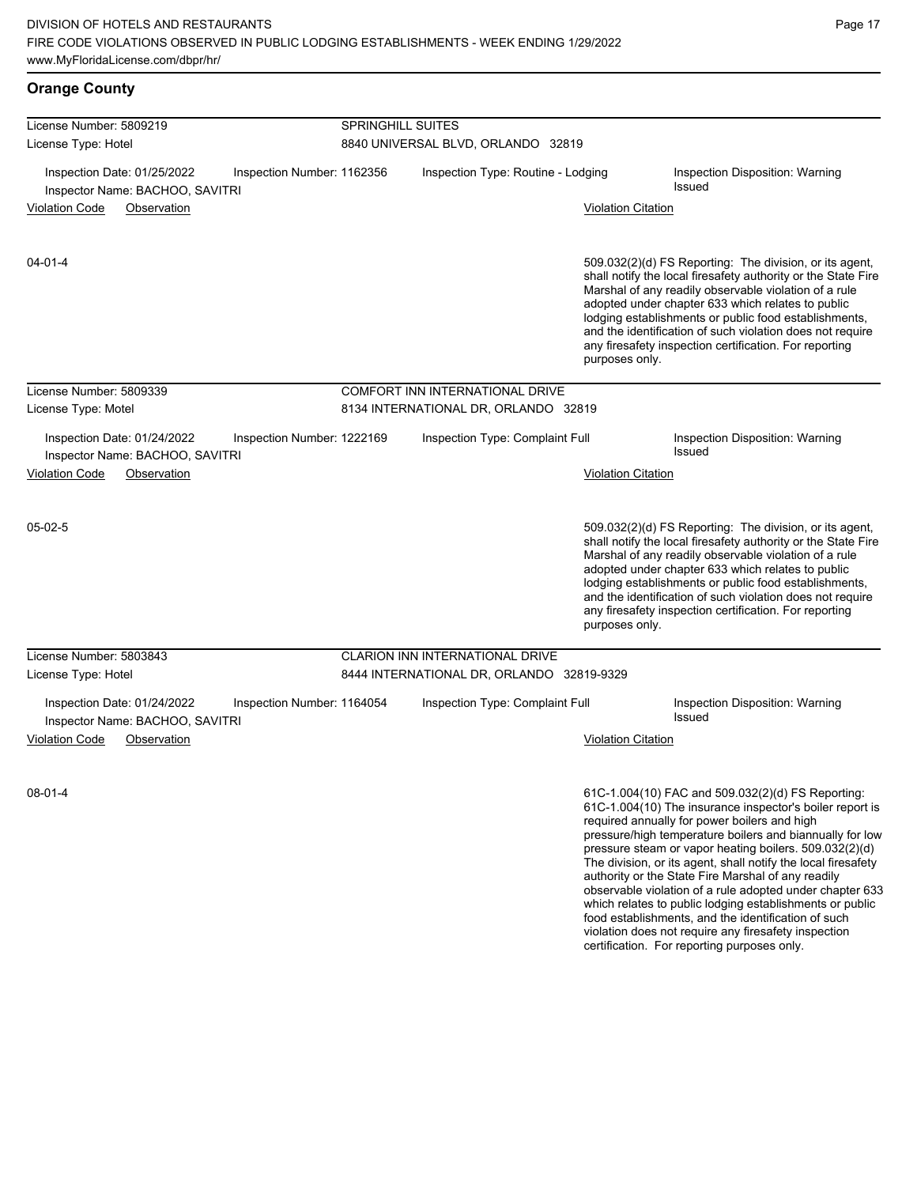| <b>Orange County</b>                                                                         |                                                                         |                           |                                                                                                                                                                                                                                                                                                                                                                                                                                                                                                                                                                                                                                                                                                  |  |  |
|----------------------------------------------------------------------------------------------|-------------------------------------------------------------------------|---------------------------|--------------------------------------------------------------------------------------------------------------------------------------------------------------------------------------------------------------------------------------------------------------------------------------------------------------------------------------------------------------------------------------------------------------------------------------------------------------------------------------------------------------------------------------------------------------------------------------------------------------------------------------------------------------------------------------------------|--|--|
| License Number: 5809219<br>License Type: Hotel                                               | <b>SPRINGHILL SUITES</b><br>8840 UNIVERSAL BLVD, ORLANDO 32819          |                           |                                                                                                                                                                                                                                                                                                                                                                                                                                                                                                                                                                                                                                                                                                  |  |  |
| Inspection Date: 01/25/2022<br>Inspection Number: 1162356<br>Inspector Name: BACHOO, SAVITRI | Inspection Type: Routine - Lodging                                      |                           | Inspection Disposition: Warning<br>Issued                                                                                                                                                                                                                                                                                                                                                                                                                                                                                                                                                                                                                                                        |  |  |
| <b>Violation Code</b><br>Observation                                                         |                                                                         | <b>Violation Citation</b> |                                                                                                                                                                                                                                                                                                                                                                                                                                                                                                                                                                                                                                                                                                  |  |  |
| $04 - 01 - 4$                                                                                |                                                                         | purposes only.            | 509.032(2)(d) FS Reporting: The division, or its agent,<br>shall notify the local firesafety authority or the State Fire<br>Marshal of any readily observable violation of a rule<br>adopted under chapter 633 which relates to public<br>lodging establishments or public food establishments,<br>and the identification of such violation does not require<br>any firesafety inspection certification. For reporting                                                                                                                                                                                                                                                                           |  |  |
| License Number: 5809339                                                                      | COMFORT INN INTERNATIONAL DRIVE                                         |                           |                                                                                                                                                                                                                                                                                                                                                                                                                                                                                                                                                                                                                                                                                                  |  |  |
| License Type: Motel<br>Inspection Date: 01/24/2022<br>Inspection Number: 1222169             | 8134 INTERNATIONAL DR, ORLANDO 32819<br>Inspection Type: Complaint Full |                           | Inspection Disposition: Warning                                                                                                                                                                                                                                                                                                                                                                                                                                                                                                                                                                                                                                                                  |  |  |
| Inspector Name: BACHOO, SAVITRI<br><b>Violation Code</b><br>Observation                      |                                                                         | <b>Violation Citation</b> | <b>Issued</b>                                                                                                                                                                                                                                                                                                                                                                                                                                                                                                                                                                                                                                                                                    |  |  |
|                                                                                              |                                                                         |                           |                                                                                                                                                                                                                                                                                                                                                                                                                                                                                                                                                                                                                                                                                                  |  |  |
| $05-02-5$                                                                                    |                                                                         | purposes only.            | 509.032(2)(d) FS Reporting: The division, or its agent,<br>shall notify the local firesafety authority or the State Fire<br>Marshal of any readily observable violation of a rule<br>adopted under chapter 633 which relates to public<br>lodging establishments or public food establishments,<br>and the identification of such violation does not require<br>any firesafety inspection certification. For reporting                                                                                                                                                                                                                                                                           |  |  |
| License Number: 5803843                                                                      | <b>CLARION INN INTERNATIONAL DRIVE</b>                                  |                           |                                                                                                                                                                                                                                                                                                                                                                                                                                                                                                                                                                                                                                                                                                  |  |  |
| License Type: Hotel                                                                          | 8444 INTERNATIONAL DR, ORLANDO 32819-9329                               |                           |                                                                                                                                                                                                                                                                                                                                                                                                                                                                                                                                                                                                                                                                                                  |  |  |
| Inspection Date: 01/24/2022<br>Inspection Number: 1164054<br>Inspector Name: BACHOO, SAVITRI | Inspection Type: Complaint Full                                         |                           | Inspection Disposition: Warning<br><b>Issued</b>                                                                                                                                                                                                                                                                                                                                                                                                                                                                                                                                                                                                                                                 |  |  |
| <b>Violation Code</b><br>Observation                                                         |                                                                         | <b>Violation Citation</b> |                                                                                                                                                                                                                                                                                                                                                                                                                                                                                                                                                                                                                                                                                                  |  |  |
| $08 - 01 - 4$                                                                                |                                                                         |                           | 61C-1.004(10) FAC and 509.032(2)(d) FS Reporting:<br>61C-1.004(10) The insurance inspector's boiler report is<br>required annually for power boilers and high<br>pressure/high temperature boilers and biannually for low<br>pressure steam or vapor heating boilers. 509.032(2)(d)<br>The division, or its agent, shall notify the local firesafety<br>authority or the State Fire Marshal of any readily<br>observable violation of a rule adopted under chapter 633<br>which relates to public lodging establishments or public<br>food establishments, and the identification of such<br>violation does not require any firesafety inspection<br>certification. For reporting purposes only. |  |  |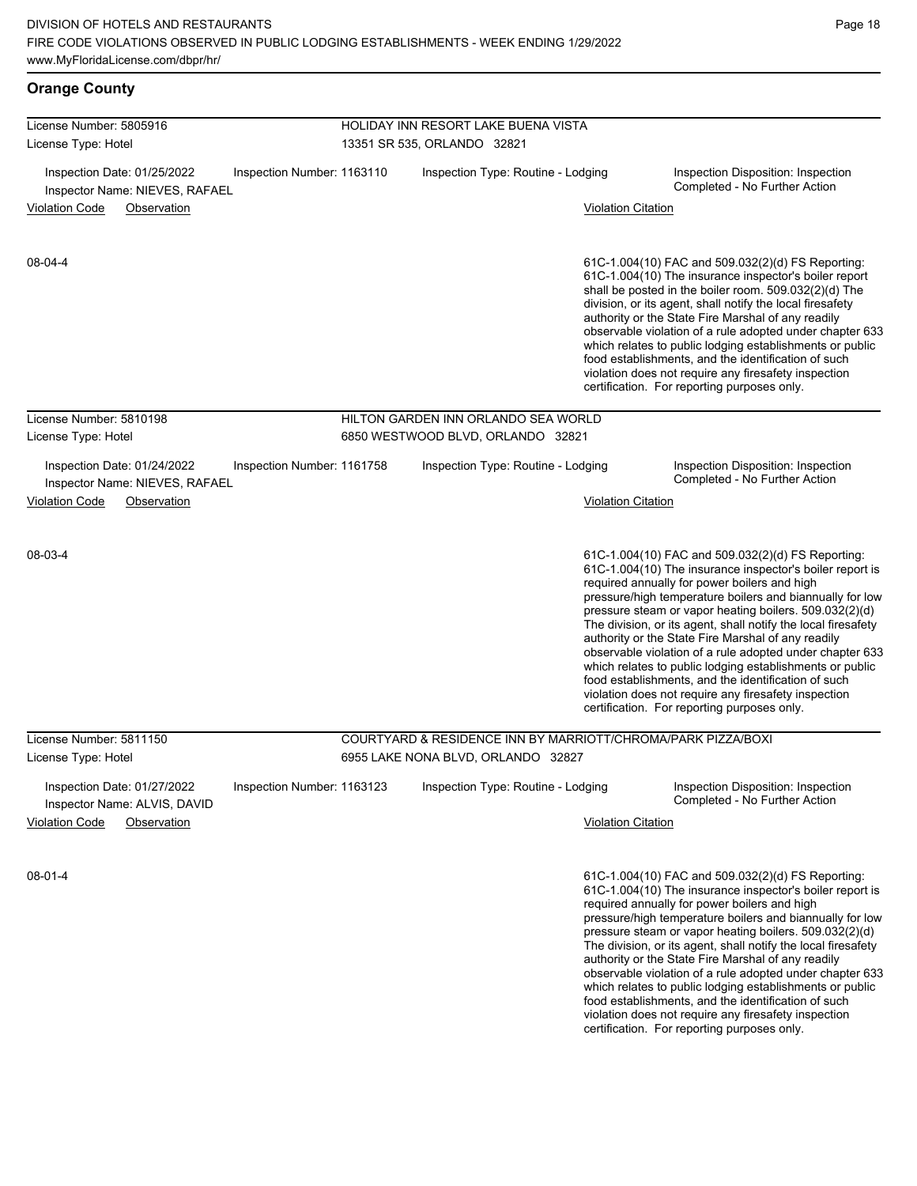authority or the State Fire Marshal of any readily observable violation of a rule adopted under chapter 633 which relates to public lodging establishments or public food establishments, and the identification of such violation does not require any firesafety inspection certification. For reporting purposes only.

| <b>Orange County</b>                                                                        |                             |                                                                                                    |                           |                                                                                                                                                                                                                                                                                                                                                                                                                                                                                                                                                                                                                                                                                                  |
|---------------------------------------------------------------------------------------------|-----------------------------|----------------------------------------------------------------------------------------------------|---------------------------|--------------------------------------------------------------------------------------------------------------------------------------------------------------------------------------------------------------------------------------------------------------------------------------------------------------------------------------------------------------------------------------------------------------------------------------------------------------------------------------------------------------------------------------------------------------------------------------------------------------------------------------------------------------------------------------------------|
| License Number: 5805916                                                                     |                             | HOLIDAY INN RESORT LAKE BUENA VISTA                                                                |                           |                                                                                                                                                                                                                                                                                                                                                                                                                                                                                                                                                                                                                                                                                                  |
| License Type: Hotel                                                                         | 13351 SR 535, ORLANDO 32821 |                                                                                                    |                           |                                                                                                                                                                                                                                                                                                                                                                                                                                                                                                                                                                                                                                                                                                  |
| Inspection Date: 01/25/2022<br>Inspection Number: 1163110<br>Inspector Name: NIEVES, RAFAEL |                             | Inspection Type: Routine - Lodging                                                                 |                           | Inspection Disposition: Inspection<br>Completed - No Further Action                                                                                                                                                                                                                                                                                                                                                                                                                                                                                                                                                                                                                              |
| <b>Violation Code</b><br>Observation                                                        | <b>Violation Citation</b>   |                                                                                                    |                           |                                                                                                                                                                                                                                                                                                                                                                                                                                                                                                                                                                                                                                                                                                  |
| 08-04-4                                                                                     |                             |                                                                                                    |                           | 61C-1.004(10) FAC and 509.032(2)(d) FS Reporting:<br>61C-1.004(10) The insurance inspector's boiler report<br>shall be posted in the boiler room. 509.032(2)(d) The<br>division, or its agent, shall notify the local firesafety<br>authority or the State Fire Marshal of any readily<br>observable violation of a rule adopted under chapter 633<br>which relates to public lodging establishments or public<br>food establishments, and the identification of such<br>violation does not require any firesafety inspection<br>certification. For reporting purposes only.                                                                                                                     |
| License Number: 5810198                                                                     |                             | HILTON GARDEN INN ORLANDO SEA WORLD                                                                |                           |                                                                                                                                                                                                                                                                                                                                                                                                                                                                                                                                                                                                                                                                                                  |
| License Type: Hotel                                                                         |                             | 6850 WESTWOOD BLVD, ORLANDO 32821                                                                  |                           |                                                                                                                                                                                                                                                                                                                                                                                                                                                                                                                                                                                                                                                                                                  |
| Inspection Date: 01/24/2022<br>Inspection Number: 1161758<br>Inspector Name: NIEVES, RAFAEL |                             | Inspection Type: Routine - Lodging                                                                 |                           | Inspection Disposition: Inspection<br>Completed - No Further Action                                                                                                                                                                                                                                                                                                                                                                                                                                                                                                                                                                                                                              |
| <b>Violation Code</b><br>Observation                                                        |                             |                                                                                                    | <b>Violation Citation</b> |                                                                                                                                                                                                                                                                                                                                                                                                                                                                                                                                                                                                                                                                                                  |
| 08-03-4                                                                                     |                             |                                                                                                    |                           | 61C-1.004(10) FAC and 509.032(2)(d) FS Reporting:<br>61C-1.004(10) The insurance inspector's boiler report is<br>required annually for power boilers and high<br>pressure/high temperature boilers and biannually for low<br>pressure steam or vapor heating boilers. 509.032(2)(d)<br>The division, or its agent, shall notify the local firesafety<br>authority or the State Fire Marshal of any readily<br>observable violation of a rule adopted under chapter 633<br>which relates to public lodging establishments or public<br>food establishments, and the identification of such<br>violation does not require any firesafety inspection<br>certification. For reporting purposes only. |
| License Number: 5811150<br>License Type: Hotel                                              |                             | COURTYARD & RESIDENCE INN BY MARRIOTT/CHROMA/PARK PIZZA/BOXI<br>6955 LAKE NONA BLVD, ORLANDO 32827 |                           |                                                                                                                                                                                                                                                                                                                                                                                                                                                                                                                                                                                                                                                                                                  |
| Inspection Date: 01/27/2022<br>Inspection Number: 1163123<br>Inspector Name: ALVIS, DAVID   |                             | Inspection Type: Routine - Lodging                                                                 |                           | Inspection Disposition: Inspection<br>Completed - No Further Action                                                                                                                                                                                                                                                                                                                                                                                                                                                                                                                                                                                                                              |
| <b>Violation Code</b><br>Observation                                                        |                             |                                                                                                    | <b>Violation Citation</b> |                                                                                                                                                                                                                                                                                                                                                                                                                                                                                                                                                                                                                                                                                                  |
| 08-01-4                                                                                     |                             |                                                                                                    |                           | 61C-1.004(10) FAC and 509.032(2)(d) FS Reporting:<br>61C-1.004(10) The insurance inspector's boiler report is<br>required annually for power boilers and high<br>pressure/high temperature boilers and biannually for low<br>pressure steam or vapor heating boilers. 509.032(2)(d)<br>The division, or its agent, shall notify the local firesafety                                                                                                                                                                                                                                                                                                                                             |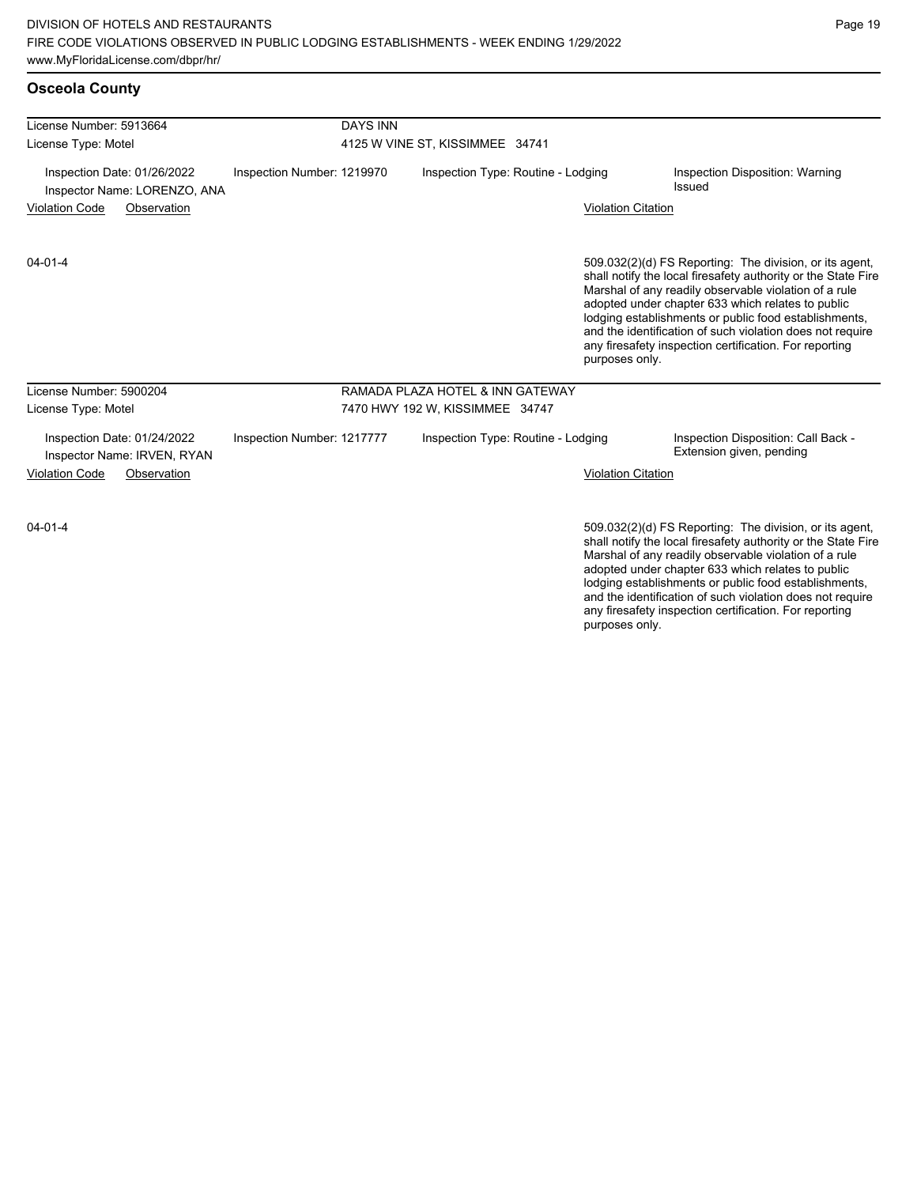| <b>Osceola County</b> |  |
|-----------------------|--|
|                       |  |

| License Number: 5913664                                     |                            | <b>DAYS INN</b>                 |                                    |                           |                                                                                                                                                                                                                                                                                                                                                                                                                        |
|-------------------------------------------------------------|----------------------------|---------------------------------|------------------------------------|---------------------------|------------------------------------------------------------------------------------------------------------------------------------------------------------------------------------------------------------------------------------------------------------------------------------------------------------------------------------------------------------------------------------------------------------------------|
| License Type: Motel                                         |                            | 4125 W VINE ST, KISSIMMEE 34741 |                                    |                           |                                                                                                                                                                                                                                                                                                                                                                                                                        |
| Inspection Date: 01/26/2022<br>Inspector Name: LORENZO, ANA | Inspection Number: 1219970 |                                 | Inspection Type: Routine - Lodging |                           | Inspection Disposition: Warning<br>Issued                                                                                                                                                                                                                                                                                                                                                                              |
| <b>Violation Code</b><br>Observation                        |                            |                                 |                                    | <b>Violation Citation</b> |                                                                                                                                                                                                                                                                                                                                                                                                                        |
| $04 - 01 - 4$                                               |                            |                                 |                                    | purposes only.            | 509.032(2)(d) FS Reporting: The division, or its agent,<br>shall notify the local firesafety authority or the State Fire<br>Marshal of any readily observable violation of a rule<br>adopted under chapter 633 which relates to public<br>lodging establishments or public food establishments,<br>and the identification of such violation does not require<br>any firesafety inspection certification. For reporting |
| License Number: 5900204                                     |                            |                                 | RAMADA PLAZA HOTEL & INN GATEWAY   |                           |                                                                                                                                                                                                                                                                                                                                                                                                                        |
| License Type: Motel                                         |                            |                                 | 7470 HWY 192 W, KISSIMMEE 34747    |                           |                                                                                                                                                                                                                                                                                                                                                                                                                        |
| Inspection Date: 01/24/2022<br>Inspector Name: IRVEN, RYAN  | Inspection Number: 1217777 |                                 | Inspection Type: Routine - Lodging |                           | Inspection Disposition: Call Back -<br>Extension given, pending                                                                                                                                                                                                                                                                                                                                                        |
| <b>Violation Code</b><br>Observation                        |                            |                                 |                                    | <b>Violation Citation</b> |                                                                                                                                                                                                                                                                                                                                                                                                                        |
| $04 - 01 - 4$                                               |                            |                                 |                                    |                           | 509.032(2)(d) FS Reporting: The division, or its agent,<br>shall notify the local firesafety authority or the State Fire<br>Marabol of any roadily observable violation of a rule                                                                                                                                                                                                                                      |

Marshal of any readily observable violation of a rule adopted under chapter 633 which relates to public lodging establishments or public food establishments, and the identification of such violation does not require any firesafety inspection certification. For reporting purposes only.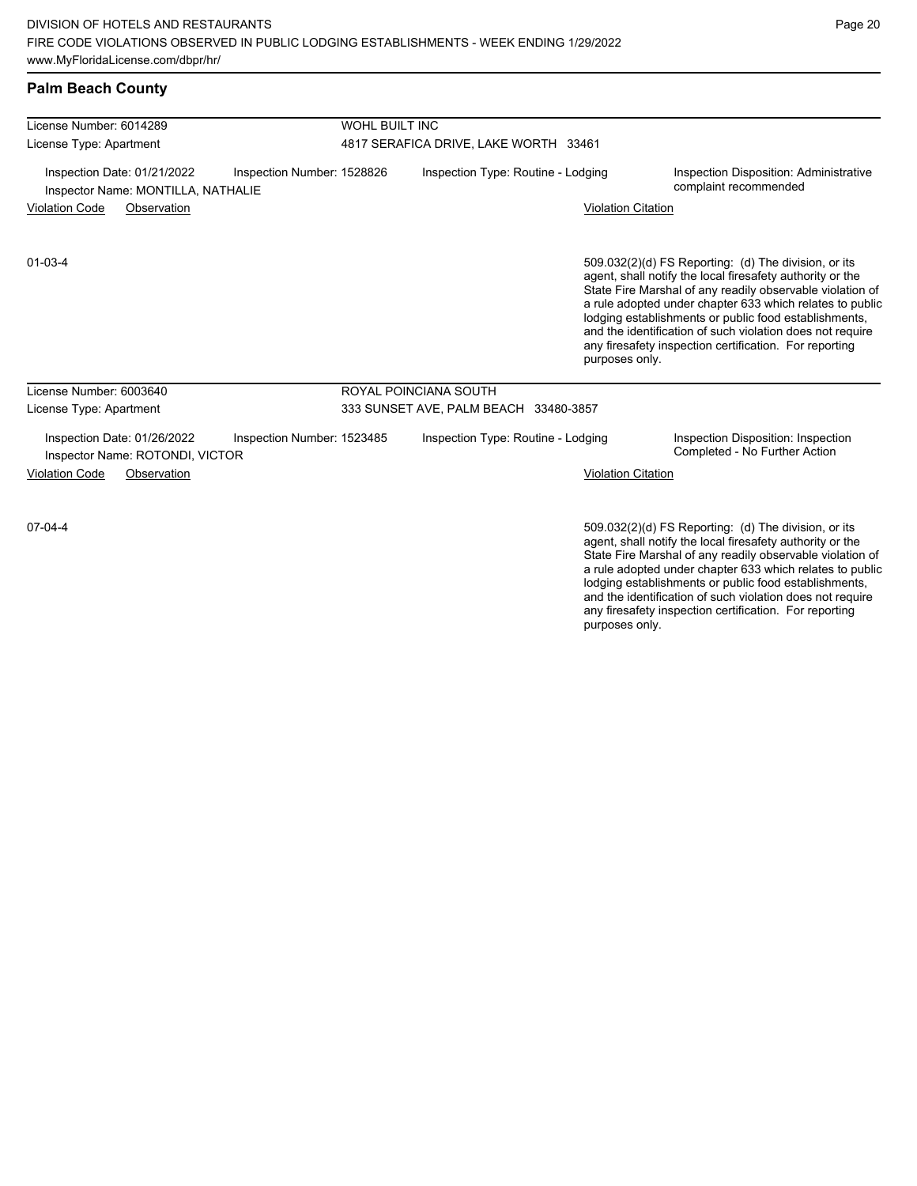| <b>Palm Beach County</b>                                          |                            |                       |                                       |                           |                                                                                                                                                                                                                                                                                                                                                                                                                            |  |  |
|-------------------------------------------------------------------|----------------------------|-----------------------|---------------------------------------|---------------------------|----------------------------------------------------------------------------------------------------------------------------------------------------------------------------------------------------------------------------------------------------------------------------------------------------------------------------------------------------------------------------------------------------------------------------|--|--|
| License Number: 6014289                                           |                            | <b>WOHL BUILT INC</b> |                                       |                           |                                                                                                                                                                                                                                                                                                                                                                                                                            |  |  |
| License Type: Apartment                                           |                            |                       | 4817 SERAFICA DRIVE, LAKE WORTH 33461 |                           |                                                                                                                                                                                                                                                                                                                                                                                                                            |  |  |
| Inspection Date: 01/21/2022<br>Inspector Name: MONTILLA, NATHALIE | Inspection Number: 1528826 |                       | Inspection Type: Routine - Lodging    |                           | Inspection Disposition: Administrative<br>complaint recommended                                                                                                                                                                                                                                                                                                                                                            |  |  |
| <b>Violation Code</b><br>Observation                              |                            |                       |                                       | <b>Violation Citation</b> |                                                                                                                                                                                                                                                                                                                                                                                                                            |  |  |
| $01 - 03 - 4$                                                     |                            |                       |                                       | purposes only.            | 509.032(2)(d) FS Reporting: (d) The division, or its<br>agent, shall notify the local firesafety authority or the<br>State Fire Marshal of any readily observable violation of<br>a rule adopted under chapter 633 which relates to public<br>lodging establishments or public food establishments,<br>and the identification of such violation does not require<br>any firesafety inspection certification. For reporting |  |  |
| License Number: 6003640                                           |                            |                       | ROYAL POINCIANA SOUTH                 |                           |                                                                                                                                                                                                                                                                                                                                                                                                                            |  |  |
| License Type: Apartment                                           |                            |                       | 333 SUNSET AVE, PALM BEACH 33480-3857 |                           |                                                                                                                                                                                                                                                                                                                                                                                                                            |  |  |
| Inspection Date: 01/26/2022<br>Inspector Name: ROTONDI, VICTOR    | Inspection Number: 1523485 |                       | Inspection Type: Routine - Lodging    |                           | Inspection Disposition: Inspection<br>Completed - No Further Action                                                                                                                                                                                                                                                                                                                                                        |  |  |
| <b>Violation Code</b><br>Observation                              |                            |                       |                                       | <b>Violation Citation</b> |                                                                                                                                                                                                                                                                                                                                                                                                                            |  |  |
| $07 - 04 - 4$                                                     |                            |                       |                                       |                           | 509.032(2)(d) FS Reporting: (d) The division, or its<br>agent, shall notify the local firesafety authority or the                                                                                                                                                                                                                                                                                                          |  |  |

State Fire Marshal of any readily observable violation of a rule adopted under chapter 633 which relates to public lodging establishments or public food establishments, and the identification of such violation does not require any firesafety inspection certification. For reporting purposes only.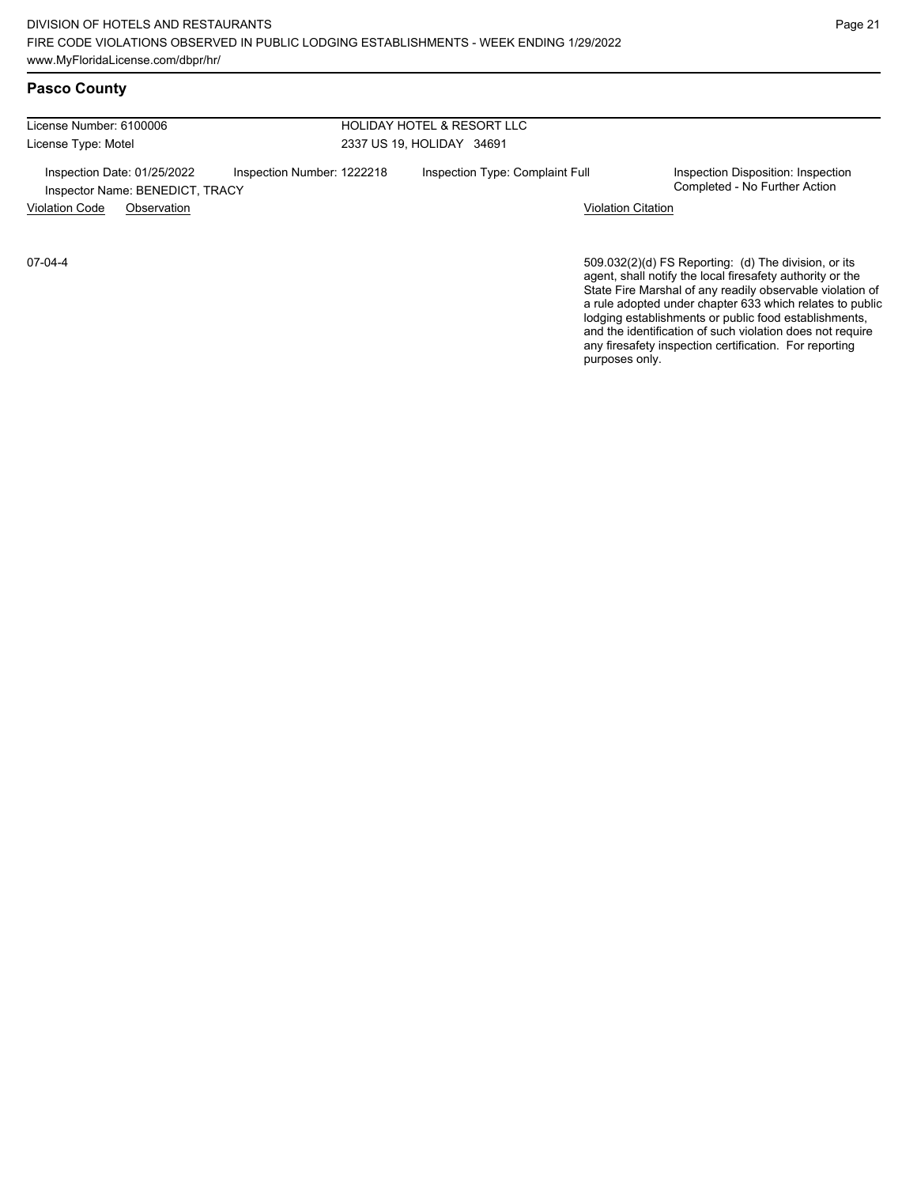07-04-4

License Number: 6100006 License Type: Motel

#### HOLIDAY HOTEL & RESORT LLC 2337 US 19, HOLIDAY 34691

Inspection Date: 01/25/2022 Inspection Number: 1222218 Inspection Type: Complaint Full Inspection Disposition: Inspection<br>Inspector Name: RENEDICT TRACY Inspector Name: BENEDICT, TRACY

Violation Code Observation Violation Citation

509.032(2)(d) FS Reporting: (d) The division, or its agent, shall notify the local firesafety authority or the State Fire Marshal of any readily observable violation of a rule adopted under chapter 633 which relates to public lodging establishments or public food establishments, and the identification of such violation does not require any firesafety inspection certification. For reporting purposes only.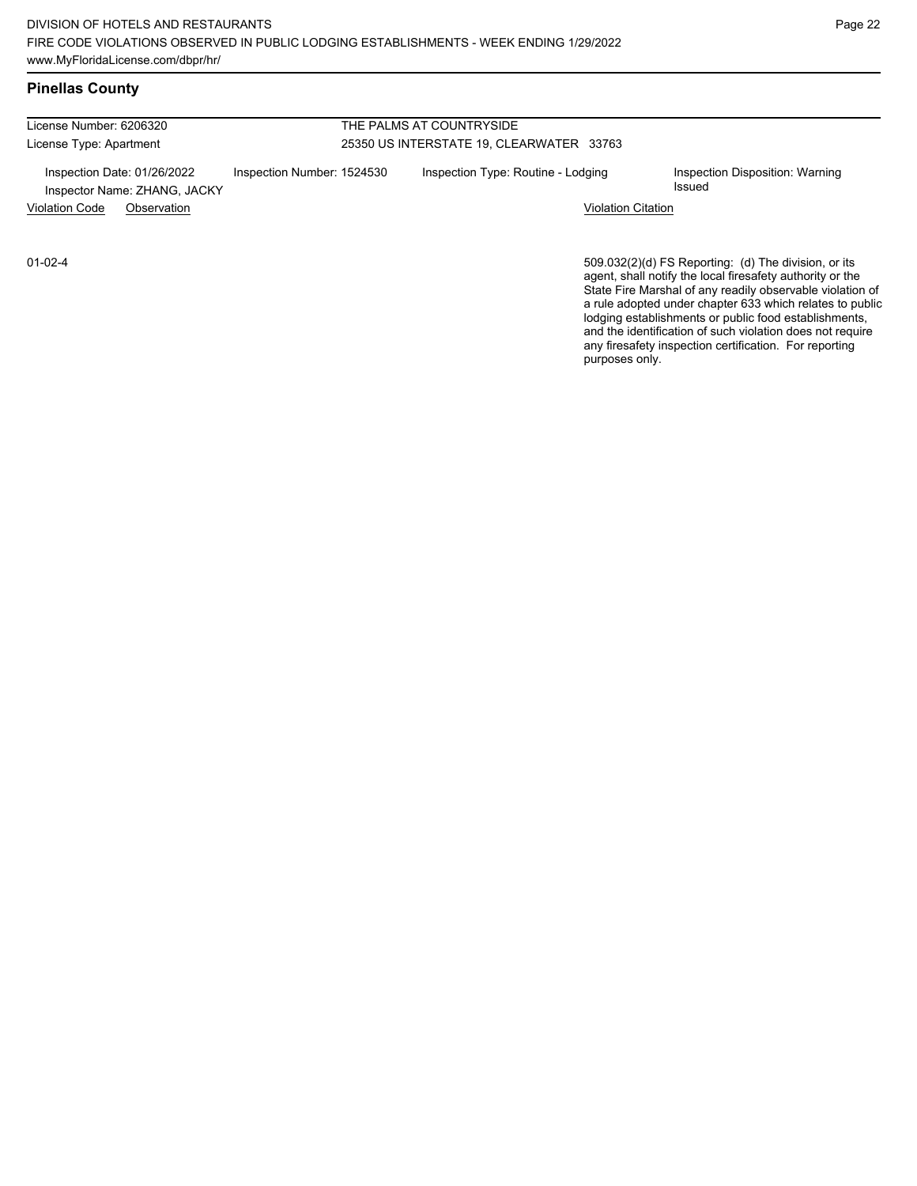License Number: 6206320 License Type: Apartment THE PALMS AT COUNTRYSIDE 25350 US INTERSTATE 19, CLEARWATER 33763 Inspection Date: 01/26/2022 Inspection Number: 1524530 Inspection Type: Routine - Lodging Inspection Disposition: Warning<br>Inspector Name: ZHANG JACKY Inspector Name: ZHANG, JACKY Violation Code Observation Violation Citation

01-02-4

509.032(2)(d) FS Reporting: (d) The division, or its agent, shall notify the local firesafety authority or the State Fire Marshal of any readily observable violation of a rule adopted under chapter 633 which relates to public lodging establishments or public food establishments, and the identification of such violation does not require any firesafety inspection certification. For reporting purposes only.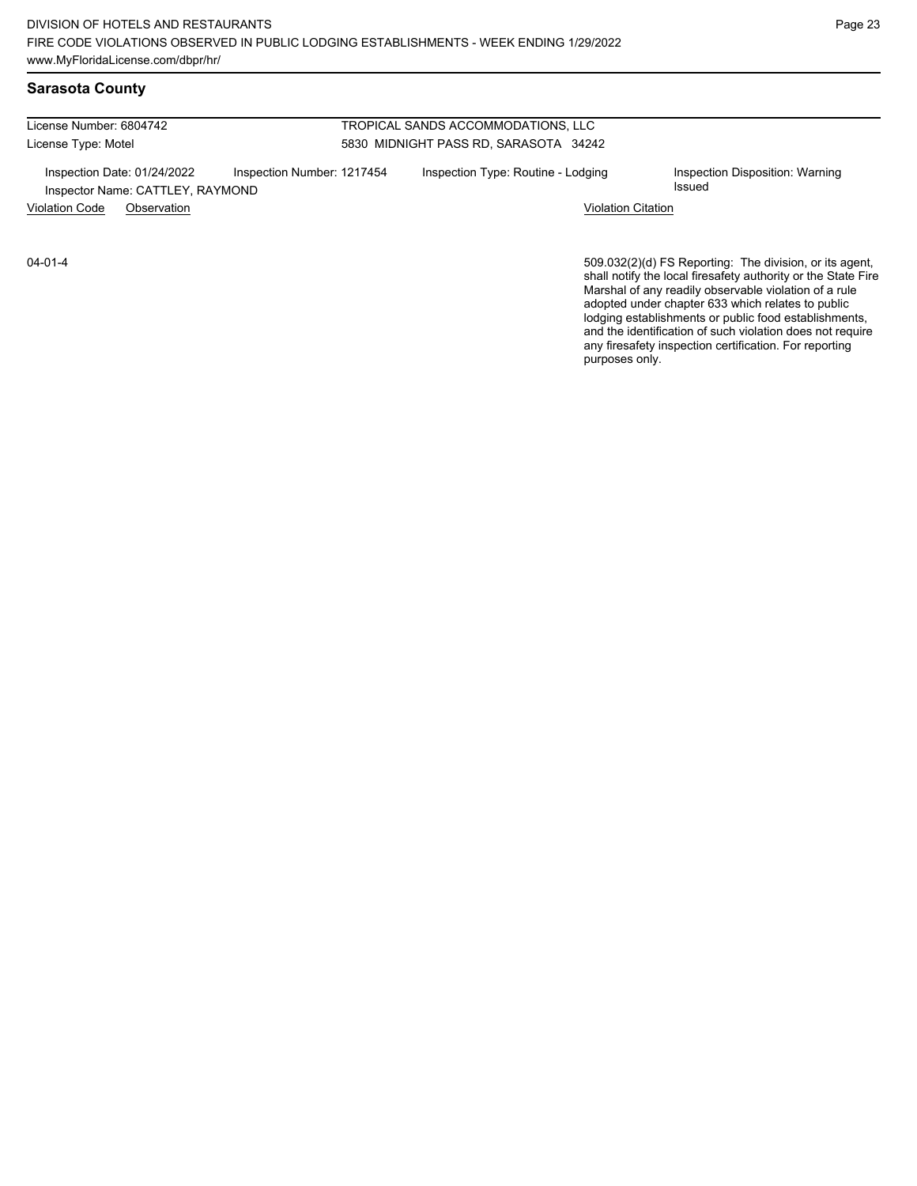## **Sarasota County**

| License Number: 6804742 |                                                                 | TROPICAL SANDS ACCOMMODATIONS, LLC |                                       |                                           |  |  |
|-------------------------|-----------------------------------------------------------------|------------------------------------|---------------------------------------|-------------------------------------------|--|--|
| License Type: Motel     |                                                                 |                                    | 5830 MIDNIGHT PASS RD, SARASOTA 34242 |                                           |  |  |
|                         | Inspection Date: 01/24/2022<br>Inspector Name: CATTLEY, RAYMOND | Inspection Number: 1217454         | Inspection Type: Routine - Lodging    | Inspection Disposition: Warning<br>Issued |  |  |
| <b>Violation Code</b>   | Observation                                                     |                                    | <b>Violation Citation</b>             |                                           |  |  |
|                         |                                                                 |                                    |                                       |                                           |  |  |

04-01-4

509.032(2)(d) FS Reporting: The division, or its agent, shall notify the local firesafety authority or the State Fire Marshal of any readily observable violation of a rule adopted under chapter 633 which relates to public lodging establishments or public food establishments, and the identification of such violation does not require any firesafety inspection certification. For reporting purposes only.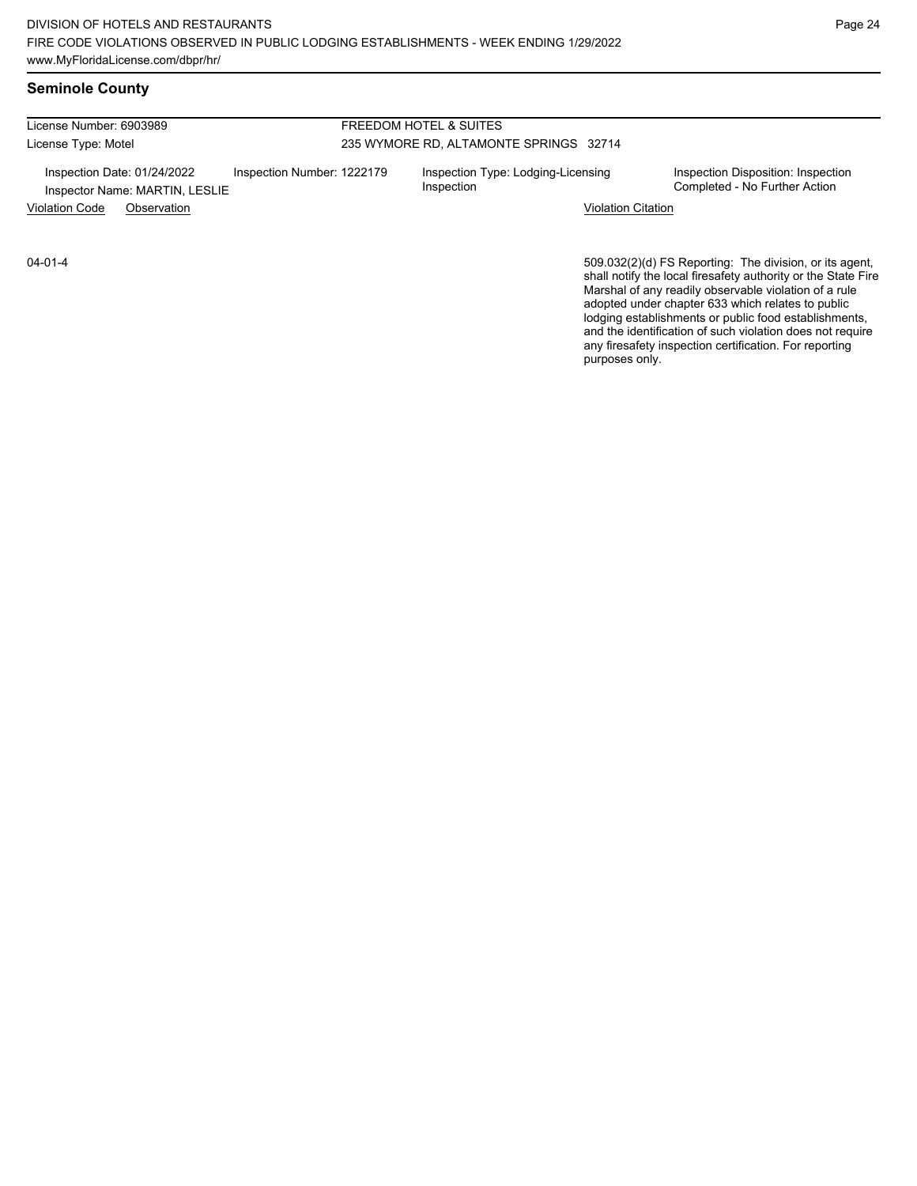# **Seminole County**

License Number: 6903989 License Type: Motel FREEDOM HOTEL & SUITES

235 WYMORE RD, ALTAMONTE SPRINGS 32714

Inspection Date: 01/24/2022 Inspection Number: 1222179 Inspection Type: Lodging-Licensing Inspector Name: MARTIN, LESLIE

Inspection

Inspection Disposition: Inspection<br>Completed - No Further Action

Violation Code Observation Violation Citation

04-01-4

509.032(2)(d) FS Reporting: The division, or its agent, shall notify the local firesafety authority or the State Fire Marshal of any readily observable violation of a rule adopted under chapter 633 which relates to public lodging establishments or public food establishments, and the identification of such violation does not require any firesafety inspection certification. For reporting purposes only.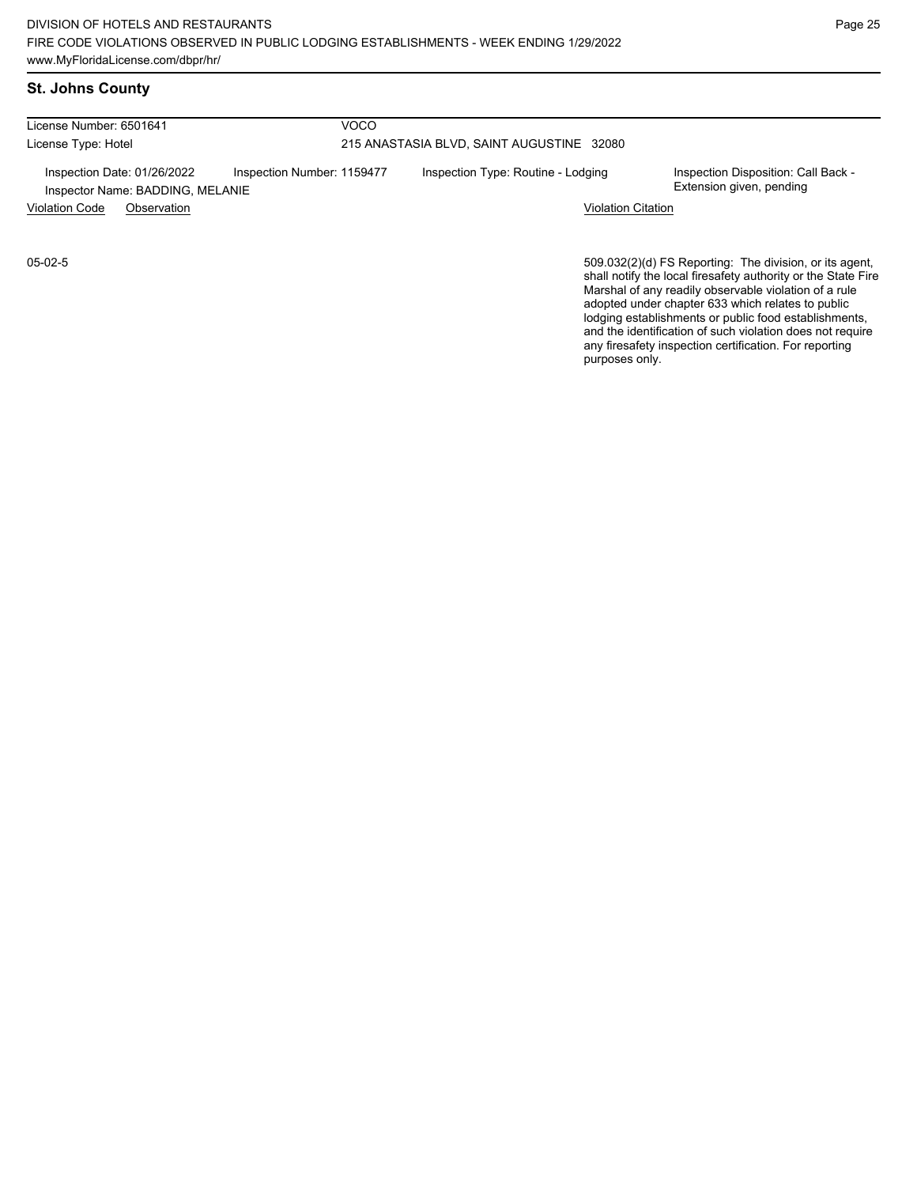adopted under chapter 633 which relates to public lodging establishments or public food establishments, and the identification of such violation does not require any firesafety inspection certification. For reporting

purposes only.

## **St. Johns County**

| License Number: 6501641 |                                                                 | VOCO                       |                                           |                                                                                                                                                                                   |  |  |
|-------------------------|-----------------------------------------------------------------|----------------------------|-------------------------------------------|-----------------------------------------------------------------------------------------------------------------------------------------------------------------------------------|--|--|
| License Type: Hotel     |                                                                 |                            | 215 ANASTASIA BLVD, SAINT AUGUSTINE 32080 |                                                                                                                                                                                   |  |  |
|                         | Inspection Date: 01/26/2022<br>Inspector Name: BADDING, MELANIE | Inspection Number: 1159477 | Inspection Type: Routine - Lodging        | Inspection Disposition: Call Back -<br>Extension given, pending                                                                                                                   |  |  |
| <b>Violation Code</b>   | Observation                                                     |                            | <b>Violation Citation</b>                 |                                                                                                                                                                                   |  |  |
| $05-02-5$               |                                                                 |                            |                                           | 509.032(2)(d) FS Reporting: The division, or its agent,<br>shall notify the local firesafety authority or the State Fire<br>Marshal of any readily observable violation of a rule |  |  |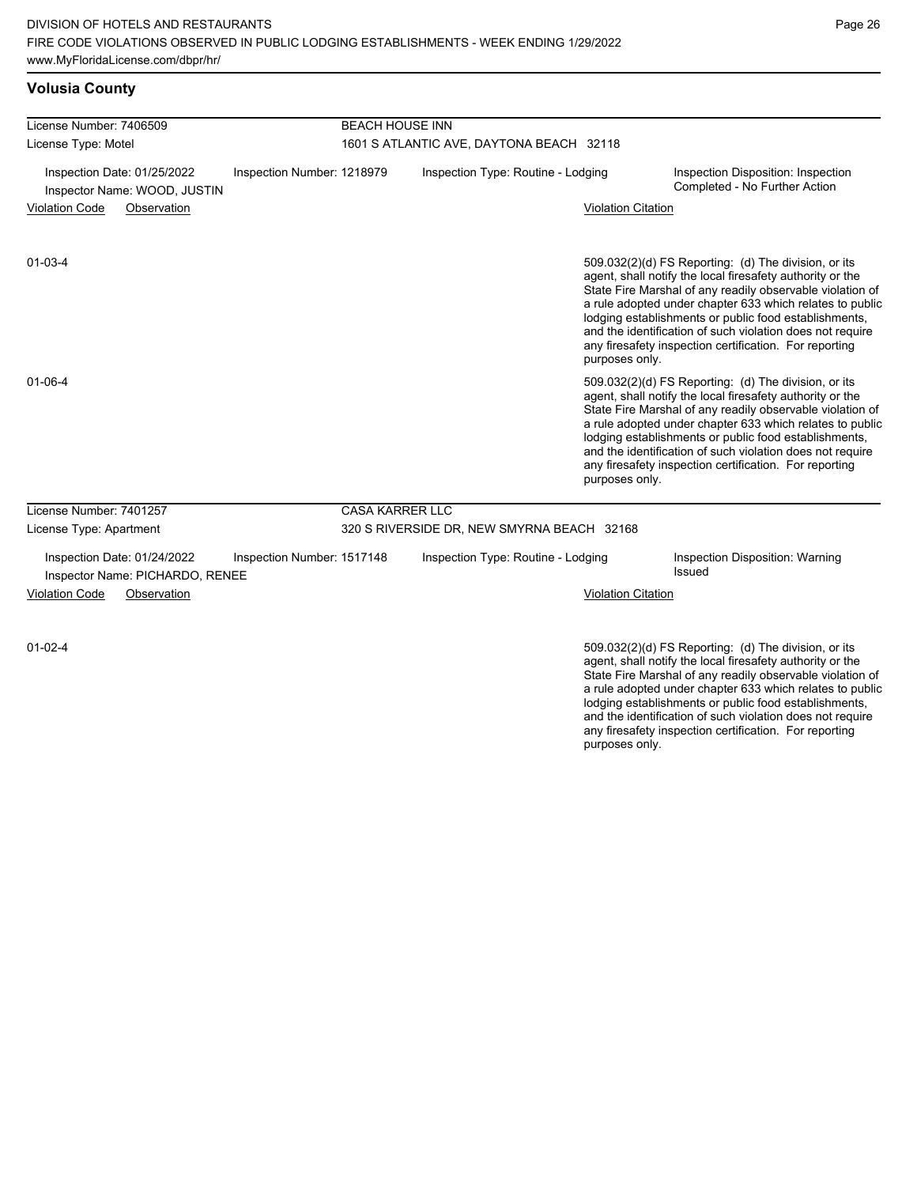any firesafety inspection certification. For reporting

| <b>Volusia County</b>                                                                        |                        |                                            |                           |                                                                                                                                                                                                                                                                                                                                                                                                                            |
|----------------------------------------------------------------------------------------------|------------------------|--------------------------------------------|---------------------------|----------------------------------------------------------------------------------------------------------------------------------------------------------------------------------------------------------------------------------------------------------------------------------------------------------------------------------------------------------------------------------------------------------------------------|
| License Number: 7406509                                                                      | <b>BEACH HOUSE INN</b> |                                            |                           |                                                                                                                                                                                                                                                                                                                                                                                                                            |
| License Type: Motel                                                                          |                        | 1601 S ATLANTIC AVE, DAYTONA BEACH 32118   |                           |                                                                                                                                                                                                                                                                                                                                                                                                                            |
| Inspection Date: 01/25/2022<br>Inspection Number: 1218979<br>Inspector Name: WOOD, JUSTIN    |                        | Inspection Type: Routine - Lodging         |                           | Inspection Disposition: Inspection<br>Completed - No Further Action                                                                                                                                                                                                                                                                                                                                                        |
| <b>Violation Code</b><br>Observation                                                         |                        |                                            | <b>Violation Citation</b> |                                                                                                                                                                                                                                                                                                                                                                                                                            |
| $01 - 03 - 4$                                                                                |                        |                                            | purposes only.            | 509.032(2)(d) FS Reporting: (d) The division, or its<br>agent, shall notify the local firesafety authority or the<br>State Fire Marshal of any readily observable violation of<br>a rule adopted under chapter 633 which relates to public<br>lodging establishments or public food establishments,<br>and the identification of such violation does not require<br>any firesafety inspection certification. For reporting |
| $01 - 06 - 4$                                                                                |                        |                                            | purposes only.            | 509.032(2)(d) FS Reporting: (d) The division, or its<br>agent, shall notify the local firesafety authority or the<br>State Fire Marshal of any readily observable violation of<br>a rule adopted under chapter 633 which relates to public<br>lodging establishments or public food establishments,<br>and the identification of such violation does not require<br>any firesafety inspection certification. For reporting |
| License Number: 7401257                                                                      | <b>CASA KARRER LLC</b> |                                            |                           |                                                                                                                                                                                                                                                                                                                                                                                                                            |
| License Type: Apartment                                                                      |                        | 320 S RIVERSIDE DR, NEW SMYRNA BEACH 32168 |                           |                                                                                                                                                                                                                                                                                                                                                                                                                            |
| Inspection Date: 01/24/2022<br>Inspection Number: 1517148<br>Inspector Name: PICHARDO, RENEE |                        | Inspection Type: Routine - Lodging         |                           | Inspection Disposition: Warning<br>Issued                                                                                                                                                                                                                                                                                                                                                                                  |
| <b>Violation Code</b><br>Observation                                                         |                        |                                            | <b>Violation Citation</b> |                                                                                                                                                                                                                                                                                                                                                                                                                            |
| $01 - 02 - 4$                                                                                |                        |                                            |                           | 509.032(2)(d) FS Reporting: (d) The division, or its<br>agent, shall notify the local firesafety authority or the<br>State Fire Marshal of any readily observable violation of<br>a rule adopted under chapter 633 which relates to public<br>lodging establishments or public food establishments,<br>and the identification of such violation does not require                                                           |